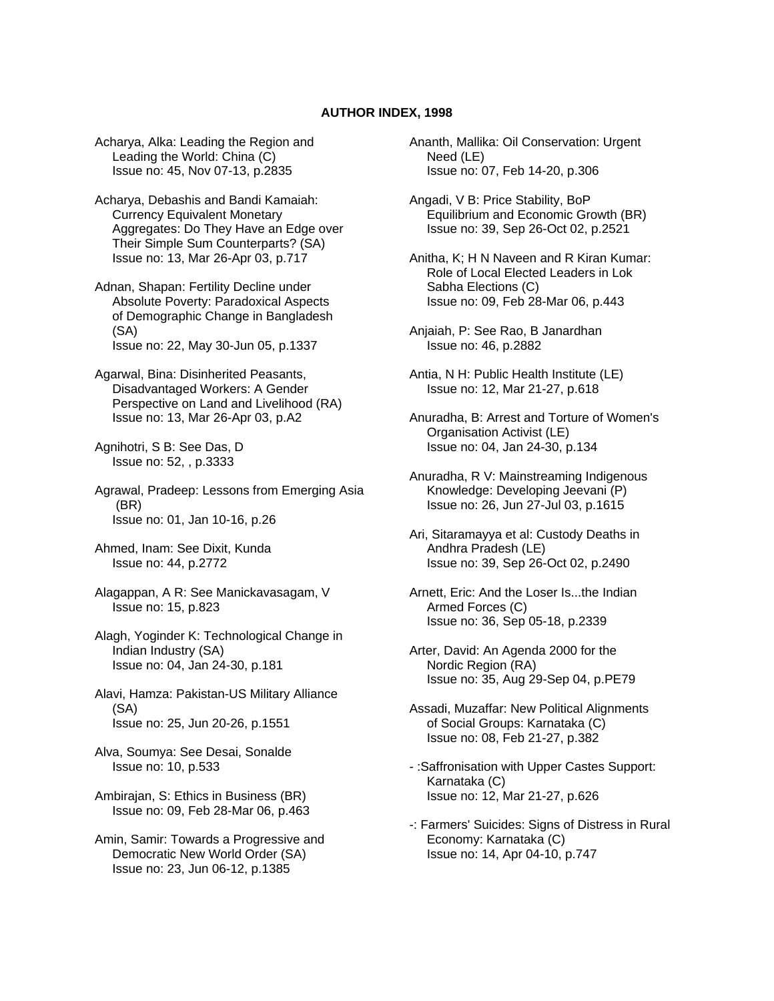## **AUTHOR INDEX, 1998**

Acharya, Alka: Leading the Region and Leading the World: China (C) Issue no: 45, Nov 07-13, p.2835

Acharya, Debashis and Bandi Kamaiah: Currency Equivalent Monetary Aggregates: Do They Have an Edge over Their Simple Sum Counterparts? (SA) Issue no: 13, Mar 26-Apr 03, p.717

Adnan, Shapan: Fertility Decline under Absolute Poverty: Paradoxical Aspects of Demographic Change in Bangladesh (SA) Issue no: 22, May 30-Jun 05, p.1337

Agarwal, Bina: Disinherited Peasants, Disadvantaged Workers: A Gender Perspective on Land and Livelihood (RA) Issue no: 13, Mar 26-Apr 03, p.A2

Agnihotri, S B: See Das, D Issue no: 52, , p.3333

Agrawal, Pradeep: Lessons from Emerging Asia (BR) Issue no: 01, Jan 10-16, p.26

Ahmed, Inam: See Dixit, Kunda Issue no: 44, p.2772

Alagappan, A R: See Manickavasagam, V Issue no: 15, p.823

Alagh, Yoginder K: Technological Change in Indian Industry (SA) Issue no: 04, Jan 24-30, p.181

Alavi, Hamza: Pakistan-US Military Alliance (SA) Issue no: 25, Jun 20-26, p.1551

Alva, Soumya: See Desai, Sonalde Issue no: 10, p.533

Ambirajan, S: Ethics in Business (BR) Issue no: 09, Feb 28-Mar 06, p.463

Amin, Samir: Towards a Progressive and Democratic New World Order (SA) Issue no: 23, Jun 06-12, p.1385

Ananth, Mallika: Oil Conservation: Urgent Need (LE) Issue no: 07, Feb 14-20, p.306

Angadi, V B: Price Stability, BoP Equilibrium and Economic Growth (BR) Issue no: 39, Sep 26-Oct 02, p.2521

Anitha, K; H N Naveen and R Kiran Kumar: Role of Local Elected Leaders in Lok Sabha Elections (C) Issue no: 09, Feb 28-Mar 06, p.443

Anjaiah, P: See Rao, B Janardhan Issue no: 46, p.2882

Antia, N H: Public Health Institute (LE) Issue no: 12, Mar 21-27, p.618

Anuradha, B: Arrest and Torture of Women's Organisation Activist (LE) Issue no: 04, Jan 24-30, p.134

Anuradha, R V: Mainstreaming Indigenous Knowledge: Developing Jeevani (P) Issue no: 26, Jun 27-Jul 03, p.1615

Ari, Sitaramayya et al: Custody Deaths in Andhra Pradesh (LE) Issue no: 39, Sep 26-Oct 02, p.2490

Arnett, Eric: And the Loser Is...the Indian Armed Forces (C) Issue no: 36, Sep 05-18, p.2339

Arter, David: An Agenda 2000 for the Nordic Region (RA) Issue no: 35, Aug 29-Sep 04, p.PE79

Assadi, Muzaffar: New Political Alignments of Social Groups: Karnataka (C) Issue no: 08, Feb 21-27, p.382

- :Saffronisation with Upper Castes Support: Karnataka (C) Issue no: 12, Mar 21-27, p.626

-: Farmers' Suicides: Signs of Distress in Rural Economy: Karnataka (C) Issue no: 14, Apr 04-10, p.747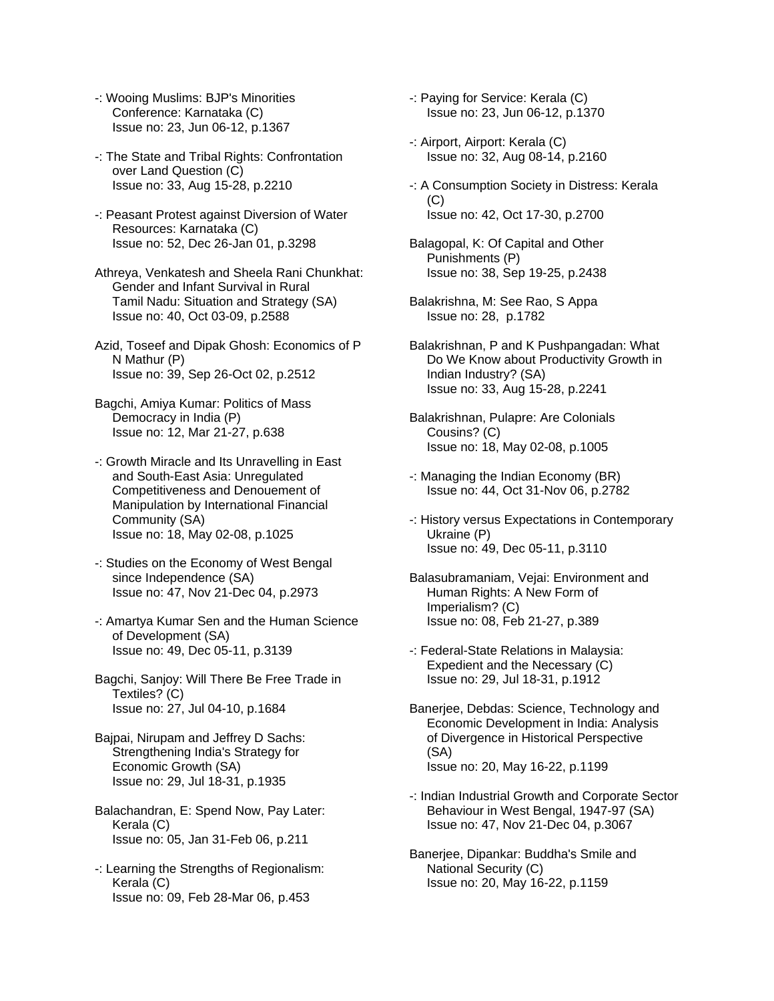- -: Wooing Muslims: BJP's Minorities Conference: Karnataka (C) Issue no: 23, Jun 06-12, p.1367
- -: The State and Tribal Rights: Confrontation over Land Question (C) Issue no: 33, Aug 15-28, p.2210
- -: Peasant Protest against Diversion of Water Resources: Karnataka (C) Issue no: 52, Dec 26-Jan 01, p.3298
- Athreya, Venkatesh and Sheela Rani Chunkhat: Gender and Infant Survival in Rural Tamil Nadu: Situation and Strategy (SA) Issue no: 40, Oct 03-09, p.2588
- Azid, Toseef and Dipak Ghosh: Economics of P N Mathur (P) Issue no: 39, Sep 26-Oct 02, p.2512
- Bagchi, Amiya Kumar: Politics of Mass Democracy in India (P) Issue no: 12, Mar 21-27, p.638
- -: Growth Miracle and Its Unravelling in East and South-East Asia: Unregulated Competitiveness and Denouement of Manipulation by International Financial Community (SA) Issue no: 18, May 02-08, p.1025
- -: Studies on the Economy of West Bengal since Independence (SA) Issue no: 47, Nov 21-Dec 04, p.2973
- -: Amartya Kumar Sen and the Human Science of Development (SA) Issue no: 49, Dec 05-11, p.3139
- Bagchi, Sanjoy: Will There Be Free Trade in Textiles? (C) Issue no: 27, Jul 04-10, p.1684
- Bajpai, Nirupam and Jeffrey D Sachs: Strengthening India's Strategy for Economic Growth (SA) Issue no: 29, Jul 18-31, p.1935
- Balachandran, E: Spend Now, Pay Later: Kerala (C) Issue no: 05, Jan 31-Feb 06, p.211
- -: Learning the Strengths of Regionalism: Kerala (C) Issue no: 09, Feb 28-Mar 06, p.453
- -: Paying for Service: Kerala (C) Issue no: 23, Jun 06-12, p.1370
- -: Airport, Airport: Kerala (C) Issue no: 32, Aug 08-14, p.2160
- -: A Consumption Society in Distress: Kerala (C) Issue no: 42, Oct 17-30, p.2700
- Balagopal, K: Of Capital and Other Punishments (P) Issue no: 38, Sep 19-25, p.2438
- Balakrishna, M: See Rao, S Appa Issue no: 28, p.1782
- Balakrishnan, P and K Pushpangadan: What Do We Know about Productivity Growth in Indian Industry? (SA) Issue no: 33, Aug 15-28, p.2241
- Balakrishnan, Pulapre: Are Colonials Cousins? (C) Issue no: 18, May 02-08, p.1005
- -: Managing the Indian Economy (BR) Issue no: 44, Oct 31-Nov 06, p.2782
- -: History versus Expectations in Contemporary Ukraine (P) Issue no: 49, Dec 05-11, p.3110
- Balasubramaniam, Vejai: Environment and Human Rights: A New Form of Imperialism? (C) Issue no: 08, Feb 21-27, p.389
- -: Federal-State Relations in Malaysia: Expedient and the Necessary (C) Issue no: 29, Jul 18-31, p.1912
- Banerjee, Debdas: Science, Technology and Economic Development in India: Analysis of Divergence in Historical Perspective (SA) Issue no: 20, May 16-22, p.1199
- -: Indian Industrial Growth and Corporate Sector Behaviour in West Bengal, 1947-97 (SA) Issue no: 47, Nov 21-Dec 04, p.3067
- Banerjee, Dipankar: Buddha's Smile and National Security (C) Issue no: 20, May 16-22, p.1159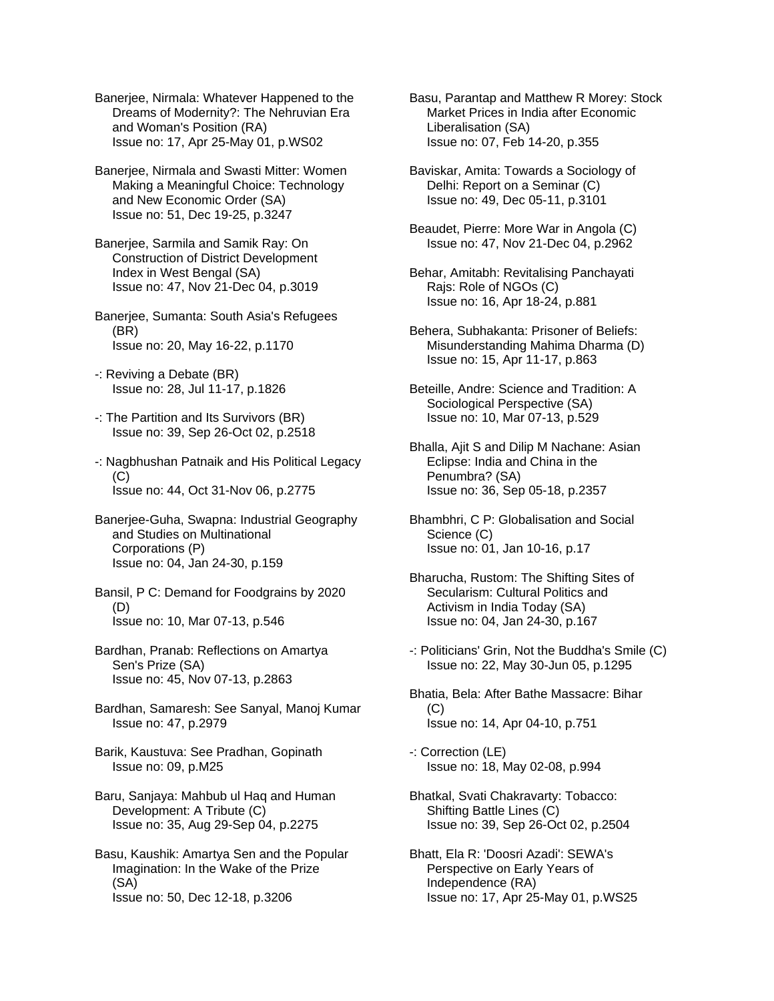Banerjee, Nirmala: Whatever Happened to the Dreams of Modernity?: The Nehruvian Era and Woman's Position (RA) Issue no: 17, Apr 25-May 01, p.WS02

Banerjee, Nirmala and Swasti Mitter: Women Making a Meaningful Choice: Technology and New Economic Order (SA) Issue no: 51, Dec 19-25, p.3247

Banerjee, Sarmila and Samik Ray: On Construction of District Development Index in West Bengal (SA) Issue no: 47, Nov 21-Dec 04, p.3019

Banerjee, Sumanta: South Asia's Refugees (BR) Issue no: 20, May 16-22, p.1170

- -: Reviving a Debate (BR) Issue no: 28, Jul 11-17, p.1826
- -: The Partition and Its Survivors (BR) Issue no: 39, Sep 26-Oct 02, p.2518
- -: Nagbhushan Patnaik and His Political Legacy  $(C)$ Issue no: 44, Oct 31-Nov 06, p.2775

Banerjee-Guha, Swapna: Industrial Geography and Studies on Multinational Corporations (P) Issue no: 04, Jan 24-30, p.159

Bansil, P C: Demand for Foodgrains by 2020 (D) Issue no: 10, Mar 07-13, p.546

- Bardhan, Pranab: Reflections on Amartya Sen's Prize (SA) Issue no: 45, Nov 07-13, p.2863
- Bardhan, Samaresh: See Sanyal, Manoj Kumar Issue no: 47, p.2979
- Barik, Kaustuva: See Pradhan, Gopinath Issue no: 09, p.M25
- Baru, Sanjaya: Mahbub ul Haq and Human Development: A Tribute (C) Issue no: 35, Aug 29-Sep 04, p.2275
- Basu, Kaushik: Amartya Sen and the Popular Imagination: In the Wake of the Prize (SA) Issue no: 50, Dec 12-18, p.3206

Basu, Parantap and Matthew R Morey: Stock Market Prices in India after Economic Liberalisation (SA) Issue no: 07, Feb 14-20, p.355

Baviskar, Amita: Towards a Sociology of Delhi: Report on a Seminar (C) Issue no: 49, Dec 05-11, p.3101

- Beaudet, Pierre: More War in Angola (C) Issue no: 47, Nov 21-Dec 04, p.2962
- Behar, Amitabh: Revitalising Panchayati Rajs: Role of NGOs (C) Issue no: 16, Apr 18-24, p.881
- Behera, Subhakanta: Prisoner of Beliefs: Misunderstanding Mahima Dharma (D) Issue no: 15, Apr 11-17, p.863
- Beteille, Andre: Science and Tradition: A Sociological Perspective (SA) Issue no: 10, Mar 07-13, p.529
- Bhalla, Ajit S and Dilip M Nachane: Asian Eclipse: India and China in the Penumbra? (SA) Issue no: 36, Sep 05-18, p.2357
- Bhambhri, C P: Globalisation and Social Science (C) Issue no: 01, Jan 10-16, p.17
- Bharucha, Rustom: The Shifting Sites of Secularism: Cultural Politics and Activism in India Today (SA) Issue no: 04, Jan 24-30, p.167
- -: Politicians' Grin, Not the Buddha's Smile (C) Issue no: 22, May 30-Jun 05, p.1295
- Bhatia, Bela: After Bathe Massacre: Bihar  $(C)$ Issue no: 14, Apr 04-10, p.751
- -: Correction (LE) Issue no: 18, May 02-08, p.994
- Bhatkal, Svati Chakravarty: Tobacco: Shifting Battle Lines (C) Issue no: 39, Sep 26-Oct 02, p.2504
- Bhatt, Ela R: 'Doosri Azadi': SEWA's Perspective on Early Years of Independence (RA) Issue no: 17, Apr 25-May 01, p.WS25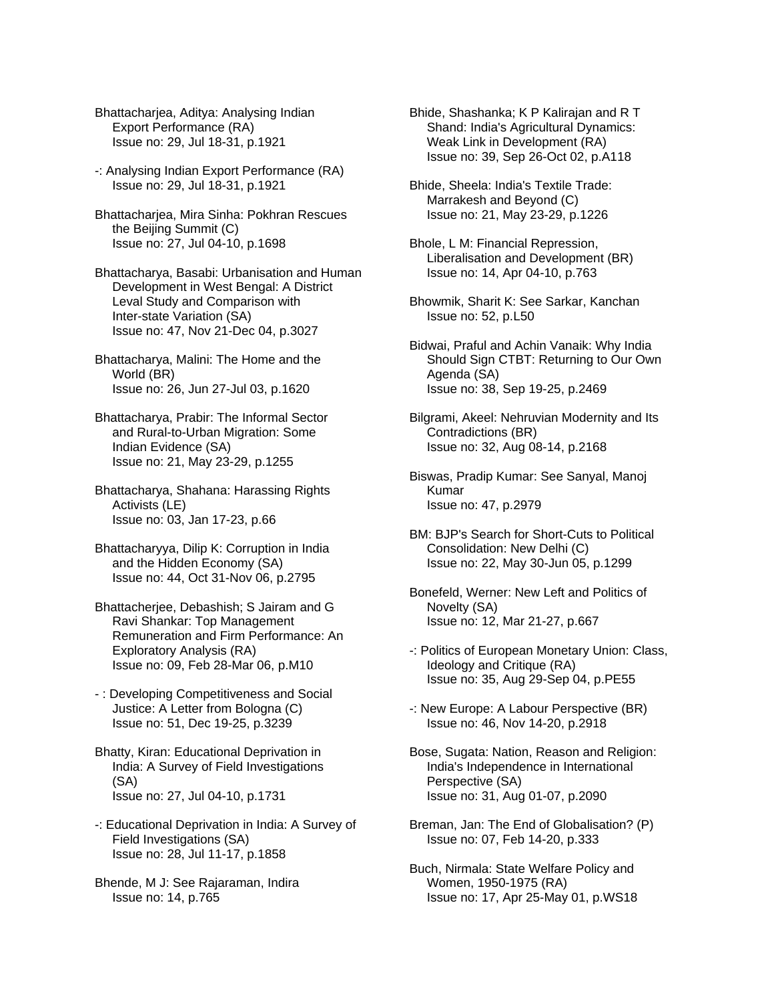Bhattacharjea, Aditya: Analysing Indian Export Performance (RA) Issue no: 29, Jul 18-31, p.1921

- -: Analysing Indian Export Performance (RA) Issue no: 29, Jul 18-31, p.1921
- Bhattacharjea, Mira Sinha: Pokhran Rescues the Beijing Summit (C) Issue no: 27, Jul 04-10, p.1698
- Bhattacharya, Basabi: Urbanisation and Human Development in West Bengal: A District Leval Study and Comparison with Inter-state Variation (SA) Issue no: 47, Nov 21-Dec 04, p.3027
- Bhattacharya, Malini: The Home and the World (BR) Issue no: 26, Jun 27-Jul 03, p.1620
- Bhattacharya, Prabir: The Informal Sector and Rural-to-Urban Migration: Some Indian Evidence (SA) Issue no: 21, May 23-29, p.1255
- Bhattacharya, Shahana: Harassing Rights Activists (LE) Issue no: 03, Jan 17-23, p.66
- Bhattacharyya, Dilip K: Corruption in India and the Hidden Economy (SA) Issue no: 44, Oct 31-Nov 06, p.2795
- Bhattacherjee, Debashish; S Jairam and G Ravi Shankar: Top Management Remuneration and Firm Performance: An Exploratory Analysis (RA) Issue no: 09, Feb 28-Mar 06, p.M10
- : Developing Competitiveness and Social Justice: A Letter from Bologna (C) Issue no: 51, Dec 19-25, p.3239
- Bhatty, Kiran: Educational Deprivation in India: A Survey of Field Investigations (SA) Issue no: 27, Jul 04-10, p.1731
- -: Educational Deprivation in India: A Survey of Field Investigations (SA) Issue no: 28, Jul 11-17, p.1858
- Bhende, M J: See Rajaraman, Indira Issue no: 14, p.765
- Bhide, Shashanka; K P Kalirajan and R T Shand: India's Agricultural Dynamics: Weak Link in Development (RA) Issue no: 39, Sep 26-Oct 02, p.A118
- Bhide, Sheela: India's Textile Trade: Marrakesh and Beyond (C) Issue no: 21, May 23-29, p.1226
- Bhole, L M: Financial Repression, Liberalisation and Development (BR) Issue no: 14, Apr 04-10, p.763
- Bhowmik, Sharit K: See Sarkar, Kanchan Issue no: 52, p.L50
- Bidwai, Praful and Achin Vanaik: Why India Should Sign CTBT: Returning to Our Own Agenda (SA) Issue no: 38, Sep 19-25, p.2469
- Bilgrami, Akeel: Nehruvian Modernity and Its Contradictions (BR) Issue no: 32, Aug 08-14, p.2168
- Biswas, Pradip Kumar: See Sanyal, Manoj Kumar Issue no: 47, p.2979
- BM: BJP's Search for Short-Cuts to Political Consolidation: New Delhi (C) Issue no: 22, May 30-Jun 05, p.1299
- Bonefeld, Werner: New Left and Politics of Novelty (SA) Issue no: 12, Mar 21-27, p.667
- -: Politics of European Monetary Union: Class, Ideology and Critique (RA) Issue no: 35, Aug 29-Sep 04, p.PE55
- -: New Europe: A Labour Perspective (BR) Issue no: 46, Nov 14-20, p.2918
- Bose, Sugata: Nation, Reason and Religion: India's Independence in International Perspective (SA) Issue no: 31, Aug 01-07, p.2090
- Breman, Jan: The End of Globalisation? (P) Issue no: 07, Feb 14-20, p.333
- Buch, Nirmala: State Welfare Policy and Women, 1950-1975 (RA) Issue no: 17, Apr 25-May 01, p.WS18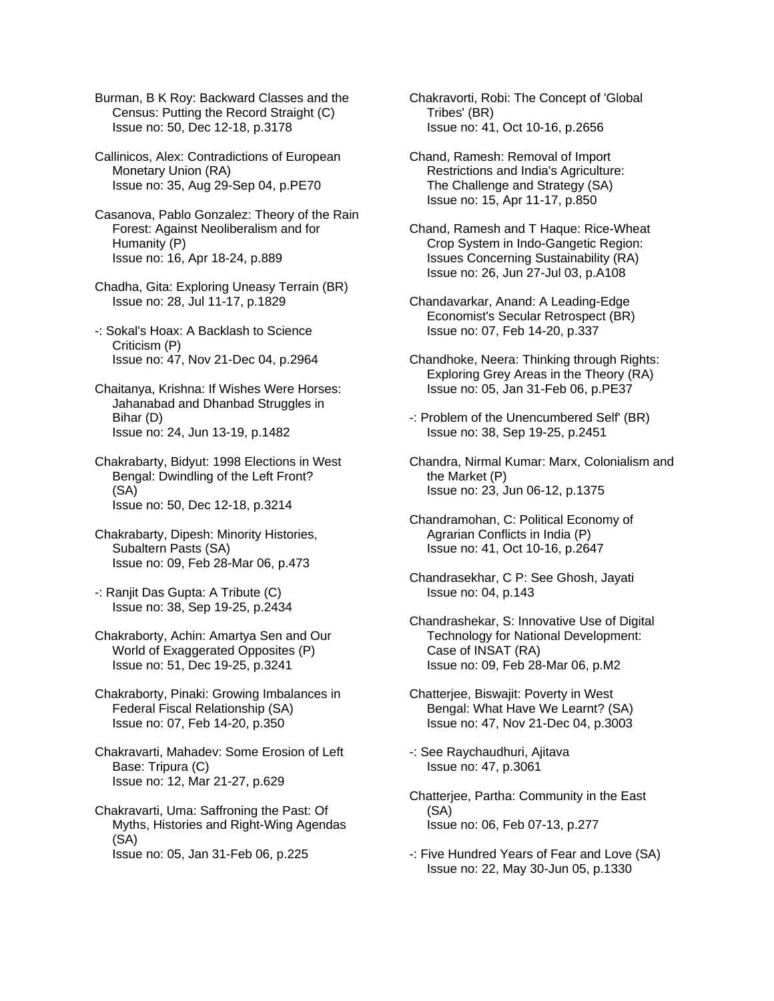Burman, B K Roy: Backward Classes and the Census: Putting the Record Straight (C) Issue no: 50, Dec 12-18, p.3178

Callinicos, Alex: Contradictions of European Monetary Union (RA) Issue no: 35, Aug 29-Sep 04, p.PE70

Casanova, Pablo Gonzalez: Theory of the Rain Forest: Against Neoliberalism and for Humanity (P) Issue no: 16, Apr 18-24, p.889

Chadha, Gita: Exploring Uneasy Terrain (BR) Issue no: 28, Jul 11-17, p.1829

-: Sokal's Hoax: A Backlash to Science Criticism (P) Issue no: 47, Nov 21-Dec 04, p.2964

Chaitanya, Krishna: If Wishes Were Horses: Jahanabad and Dhanbad Struggles in Bihar (D) Issue no: 24, Jun 13-19, p.1482

Chakrabarty, Bidyut: 1998 Elections in West Bengal: Dwindling of the Left Front? (SA) Issue no: 50, Dec 12-18, p.3214

Chakrabarty, Dipesh: Minority Histories, Subaltern Pasts (SA) Issue no: 09, Feb 28-Mar 06, p.473

-: Ranjit Das Gupta: A Tribute (C) Issue no: 38, Sep 19-25, p.2434

Chakraborty, Achin: Amartya Sen and Our World of Exaggerated Opposites (P) Issue no: 51, Dec 19-25, p.3241

Chakraborty, Pinaki: Growing Imbalances in Federal Fiscal Relationship (SA) Issue no: 07, Feb 14-20, p.350

Chakravarti, Mahadev: Some Erosion of Left Base: Tripura (C) Issue no: 12, Mar 21-27, p.629

Chakravarti, Uma: Saffroning the Past: Of Myths, Histories and Right-Wing Agendas (SA) Issue no: 05, Jan 31-Feb 06, p.225

Chakravorti, Robi: The Concept of 'Global Tribes' (BR) Issue no: 41, Oct 10-16, p.2656

Chand, Ramesh: Removal of Import Restrictions and India's Agriculture: The Challenge and Strategy (SA) Issue no: 15, Apr 11-17, p.850

Chand, Ramesh and T Haque: Rice-Wheat Crop System in Indo-Gangetic Region: Issues Concerning Sustainability (RA) Issue no: 26, Jun 27-Jul 03, p.A108

Chandavarkar, Anand: A Leading-Edge Economist's Secular Retrospect (BR) Issue no: 07, Feb 14-20, p.337

Chandhoke, Neera: Thinking through Rights: Exploring Grey Areas in the Theory (RA) Issue no: 05, Jan 31-Feb 06, p.PE37

-: Problem of the Unencumbered Self' (BR) Issue no: 38, Sep 19-25, p.2451

Chandra, Nirmal Kumar: Marx, Colonialism and the Market (P) Issue no: 23, Jun 06-12, p.1375

Chandramohan, C: Political Economy of Agrarian Conflicts in India (P) Issue no: 41, Oct 10-16, p.2647

Chandrasekhar, C P: See Ghosh, Jayati Issue no: 04, p.143

Chandrashekar, S: Innovative Use of Digital Technology for National Development: Case of INSAT (RA) Issue no: 09, Feb 28-Mar 06, p.M2

Chatterjee, Biswajit: Poverty in West Bengal: What Have We Learnt? (SA) Issue no: 47, Nov 21-Dec 04, p.3003

-: See Raychaudhuri, Ajitava Issue no: 47, p.3061

Chatterjee, Partha: Community in the East (SA) Issue no: 06, Feb 07-13, p.277

-: Five Hundred Years of Fear and Love (SA) Issue no: 22, May 30-Jun 05, p.1330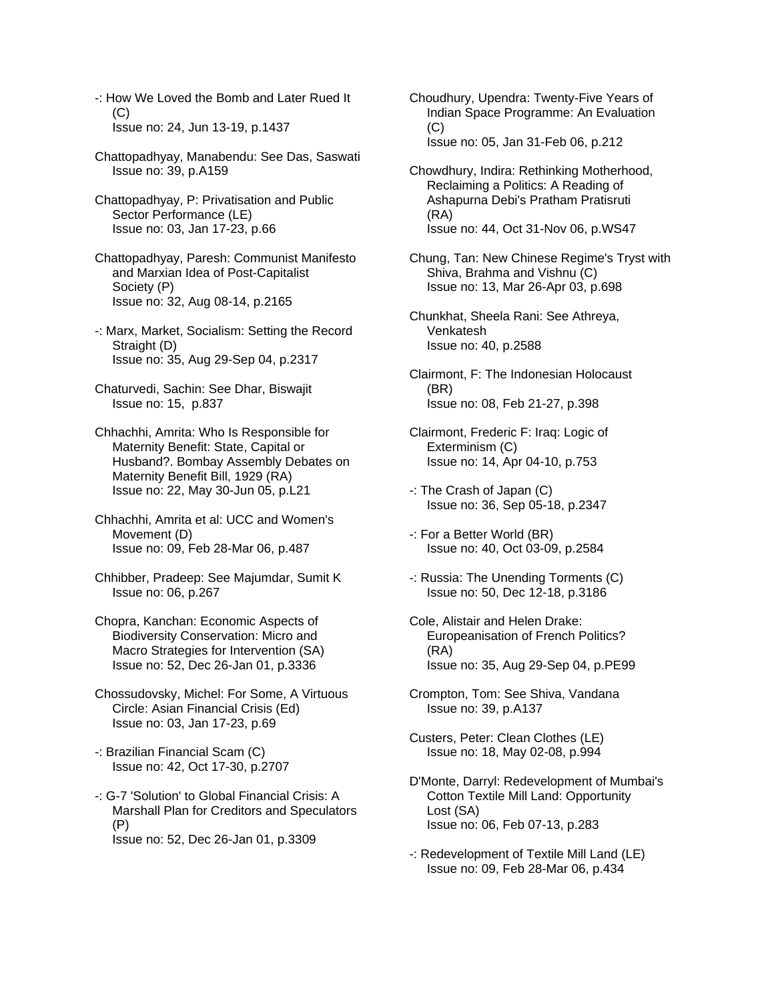- -: How We Loved the Bomb and Later Rued It (C) Issue no: 24, Jun 13-19, p.1437
- Chattopadhyay, Manabendu: See Das, Saswati Issue no: 39, p.A159
- Chattopadhyay, P: Privatisation and Public Sector Performance (LE) Issue no: 03, Jan 17-23, p.66
- Chattopadhyay, Paresh: Communist Manifesto and Marxian Idea of Post-Capitalist Society (P) Issue no: 32, Aug 08-14, p.2165
- -: Marx, Market, Socialism: Setting the Record Straight (D) Issue no: 35, Aug 29-Sep 04, p.2317
- Chaturvedi, Sachin: See Dhar, Biswajit Issue no: 15, p.837
- Chhachhi, Amrita: Who Is Responsible for Maternity Benefit: State, Capital or Husband?. Bombay Assembly Debates on Maternity Benefit Bill, 1929 (RA) Issue no: 22, May 30-Jun 05, p.L21
- Chhachhi, Amrita et al: UCC and Women's Movement (D) Issue no: 09, Feb 28-Mar 06, p.487
- Chhibber, Pradeep: See Majumdar, Sumit K Issue no: 06, p.267
- Chopra, Kanchan: Economic Aspects of Biodiversity Conservation: Micro and Macro Strategies for Intervention (SA) Issue no: 52, Dec 26-Jan 01, p.3336
- Chossudovsky, Michel: For Some, A Virtuous Circle: Asian Financial Crisis (Ed) Issue no: 03, Jan 17-23, p.69
- -: Brazilian Financial Scam (C) Issue no: 42, Oct 17-30, p.2707
- -: G-7 'Solution' to Global Financial Crisis: A Marshall Plan for Creditors and Speculators (P) Issue no: 52, Dec 26-Jan 01, p.3309
- Choudhury, Upendra: Twenty-Five Years of Indian Space Programme: An Evaluation  $(C)$ Issue no: 05, Jan 31-Feb 06, p.212
- Chowdhury, Indira: Rethinking Motherhood, Reclaiming a Politics: A Reading of Ashapurna Debi's Pratham Pratisruti (RA) Issue no: 44, Oct 31-Nov 06, p.WS47
- Chung, Tan: New Chinese Regime's Tryst with Shiva, Brahma and Vishnu (C) Issue no: 13, Mar 26-Apr 03, p.698
- Chunkhat, Sheela Rani: See Athreya, Venkatesh Issue no: 40, p.2588
- Clairmont, F: The Indonesian Holocaust (BR) Issue no: 08, Feb 21-27, p.398
- Clairmont, Frederic F: Iraq: Logic of Exterminism (C) Issue no: 14, Apr 04-10, p.753
- -: The Crash of Japan (C) Issue no: 36, Sep 05-18, p.2347
- -: For a Better World (BR) Issue no: 40, Oct 03-09, p.2584
- -: Russia: The Unending Torments (C) Issue no: 50, Dec 12-18, p.3186
- Cole, Alistair and Helen Drake: Europeanisation of French Politics? (RA) Issue no: 35, Aug 29-Sep 04, p.PE99
- Crompton, Tom: See Shiva, Vandana Issue no: 39, p.A137
- Custers, Peter: Clean Clothes (LE) Issue no: 18, May 02-08, p.994
- D'Monte, Darryl: Redevelopment of Mumbai's Cotton Textile Mill Land: Opportunity Lost (SA) Issue no: 06, Feb 07-13, p.283
- -: Redevelopment of Textile Mill Land (LE) Issue no: 09, Feb 28-Mar 06, p.434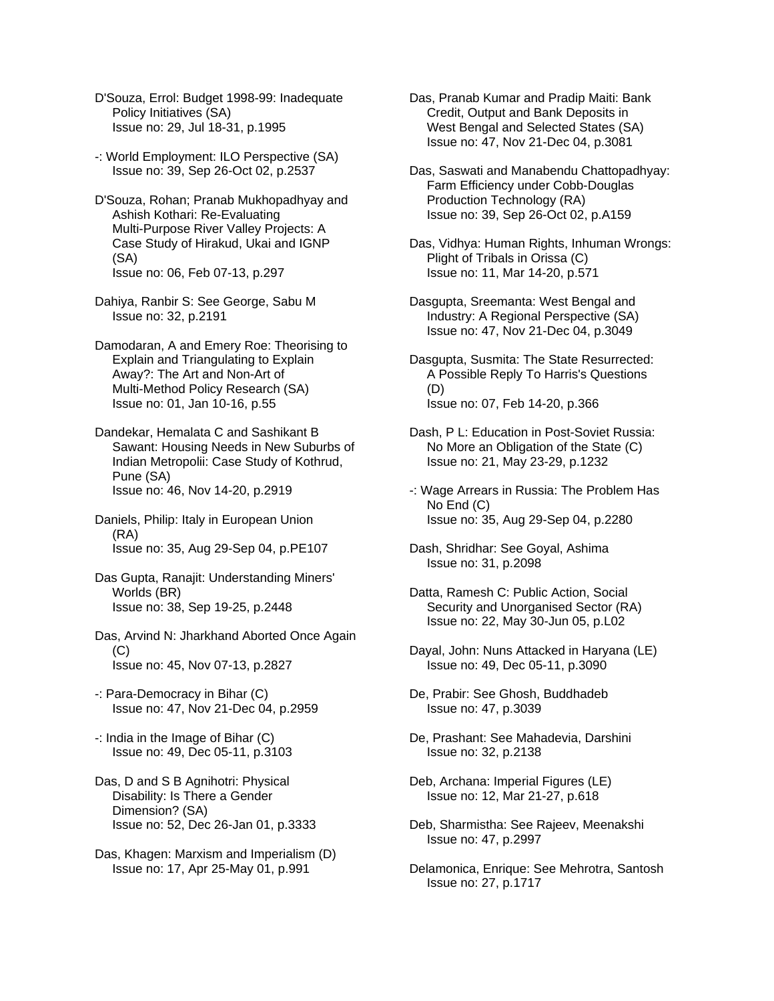- D'Souza, Errol: Budget 1998-99: Inadequate Policy Initiatives (SA) Issue no: 29, Jul 18-31, p.1995
- -: World Employment: ILO Perspective (SA) Issue no: 39, Sep 26-Oct 02, p.2537
- D'Souza, Rohan; Pranab Mukhopadhyay and Ashish Kothari: Re-Evaluating Multi-Purpose River Valley Projects: A Case Study of Hirakud, Ukai and IGNP (SA) Issue no: 06, Feb 07-13, p.297
- Dahiya, Ranbir S: See George, Sabu M Issue no: 32, p.2191
- Damodaran, A and Emery Roe: Theorising to Explain and Triangulating to Explain Away?: The Art and Non-Art of Multi-Method Policy Research (SA) Issue no: 01, Jan 10-16, p.55
- Dandekar, Hemalata C and Sashikant B Sawant: Housing Needs in New Suburbs of Indian Metropolii: Case Study of Kothrud, Pune (SA) Issue no: 46, Nov 14-20, p.2919
- Daniels, Philip: Italy in European Union (RA) Issue no: 35, Aug 29-Sep 04, p.PE107
- Das Gupta, Ranajit: Understanding Miners' Worlds (BR) Issue no: 38, Sep 19-25, p.2448
- Das, Arvind N: Jharkhand Aborted Once Again  $(C)$ Issue no: 45, Nov 07-13, p.2827
- -: Para-Democracy in Bihar (C) Issue no: 47, Nov 21-Dec 04, p.2959
- -: India in the Image of Bihar (C) Issue no: 49, Dec 05-11, p.3103
- Das, D and S B Agnihotri: Physical Disability: Is There a Gender Dimension? (SA) Issue no: 52, Dec 26-Jan 01, p.3333
- Das, Khagen: Marxism and Imperialism (D) Issue no: 17, Apr 25-May 01, p.991
- Das, Pranab Kumar and Pradip Maiti: Bank Credit, Output and Bank Deposits in West Bengal and Selected States (SA) Issue no: 47, Nov 21-Dec 04, p.3081
- Das, Saswati and Manabendu Chattopadhyay: Farm Efficiency under Cobb-Douglas Production Technology (RA) Issue no: 39, Sep 26-Oct 02, p.A159
- Das, Vidhya: Human Rights, Inhuman Wrongs: Plight of Tribals in Orissa (C) Issue no: 11, Mar 14-20, p.571
- Dasgupta, Sreemanta: West Bengal and Industry: A Regional Perspective (SA) Issue no: 47, Nov 21-Dec 04, p.3049
- Dasgupta, Susmita: The State Resurrected: A Possible Reply To Harris's Questions (D) Issue no: 07, Feb 14-20, p.366
- Dash, P L: Education in Post-Soviet Russia: No More an Obligation of the State (C) Issue no: 21, May 23-29, p.1232
- -: Wage Arrears in Russia: The Problem Has No End (C) Issue no: 35, Aug 29-Sep 04, p.2280
- Dash, Shridhar: See Goyal, Ashima Issue no: 31, p.2098
- Datta, Ramesh C: Public Action, Social Security and Unorganised Sector (RA) Issue no: 22, May 30-Jun 05, p.L02
- Dayal, John: Nuns Attacked in Haryana (LE) Issue no: 49, Dec 05-11, p.3090
- De, Prabir: See Ghosh, Buddhadeb Issue no: 47, p.3039
- De, Prashant: See Mahadevia, Darshini Issue no: 32, p.2138
- Deb, Archana: Imperial Figures (LE) Issue no: 12, Mar 21-27, p.618
- Deb, Sharmistha: See Rajeev, Meenakshi Issue no: 47, p.2997
- Delamonica, Enrique: See Mehrotra, Santosh Issue no: 27, p.1717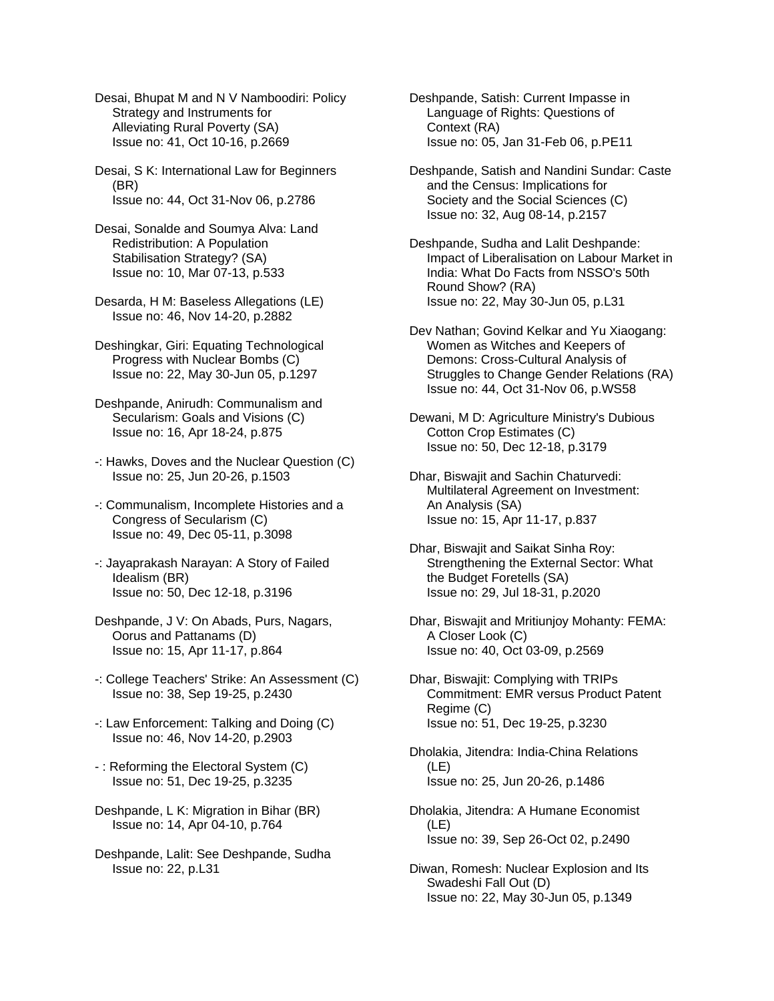Desai, Bhupat M and N V Namboodiri: Policy Strategy and Instruments for Alleviating Rural Poverty (SA) Issue no: 41, Oct 10-16, p.2669

Desai, S K: International Law for Beginners (BR) Issue no: 44, Oct 31-Nov 06, p.2786

Desai, Sonalde and Soumya Alva: Land Redistribution: A Population Stabilisation Strategy? (SA) Issue no: 10, Mar 07-13, p.533

Desarda, H M: Baseless Allegations (LE) Issue no: 46, Nov 14-20, p.2882

Deshingkar, Giri: Equating Technological Progress with Nuclear Bombs (C) Issue no: 22, May 30-Jun 05, p.1297

Deshpande, Anirudh: Communalism and Secularism: Goals and Visions (C) Issue no: 16, Apr 18-24, p.875

- -: Hawks, Doves and the Nuclear Question (C) Issue no: 25, Jun 20-26, p.1503
- -: Communalism, Incomplete Histories and a Congress of Secularism (C) Issue no: 49, Dec 05-11, p.3098
- -: Jayaprakash Narayan: A Story of Failed Idealism (BR) Issue no: 50, Dec 12-18, p.3196
- Deshpande, J V: On Abads, Purs, Nagars, Oorus and Pattanams (D) Issue no: 15, Apr 11-17, p.864
- -: College Teachers' Strike: An Assessment (C) Issue no: 38, Sep 19-25, p.2430
- -: Law Enforcement: Talking and Doing (C) Issue no: 46, Nov 14-20, p.2903
- : Reforming the Electoral System (C) Issue no: 51, Dec 19-25, p.3235
- Deshpande, L K: Migration in Bihar (BR) Issue no: 14, Apr 04-10, p.764
- Deshpande, Lalit: See Deshpande, Sudha Issue no: 22, p.L31

Deshpande, Satish: Current Impasse in Language of Rights: Questions of Context (RA) Issue no: 05, Jan 31-Feb 06, p.PE11

Deshpande, Satish and Nandini Sundar: Caste and the Census: Implications for Society and the Social Sciences (C) Issue no: 32, Aug 08-14, p.2157

Deshpande, Sudha and Lalit Deshpande: Impact of Liberalisation on Labour Market in India: What Do Facts from NSSO's 50th Round Show? (RA) Issue no: 22, May 30-Jun 05, p.L31

Dev Nathan; Govind Kelkar and Yu Xiaogang: Women as Witches and Keepers of Demons: Cross-Cultural Analysis of Struggles to Change Gender Relations (RA) Issue no: 44, Oct 31-Nov 06, p.WS58

Dewani, M D: Agriculture Ministry's Dubious Cotton Crop Estimates (C) Issue no: 50, Dec 12-18, p.3179

Dhar, Biswajit and Sachin Chaturvedi: Multilateral Agreement on Investment: An Analysis (SA) Issue no: 15, Apr 11-17, p.837

- Dhar, Biswajit and Saikat Sinha Roy: Strengthening the External Sector: What the Budget Foretells (SA) Issue no: 29, Jul 18-31, p.2020
- Dhar, Biswajit and Mritiunjoy Mohanty: FEMA: A Closer Look (C) Issue no: 40, Oct 03-09, p.2569

Dhar, Biswajit: Complying with TRIPs Commitment: EMR versus Product Patent Regime (C) Issue no: 51, Dec 19-25, p.3230

Dholakia, Jitendra: India-China Relations (LE) Issue no: 25, Jun 20-26, p.1486

- Dholakia, Jitendra: A Humane Economist (LE) Issue no: 39, Sep 26-Oct 02, p.2490
- Diwan, Romesh: Nuclear Explosion and Its Swadeshi Fall Out (D) Issue no: 22, May 30-Jun 05, p.1349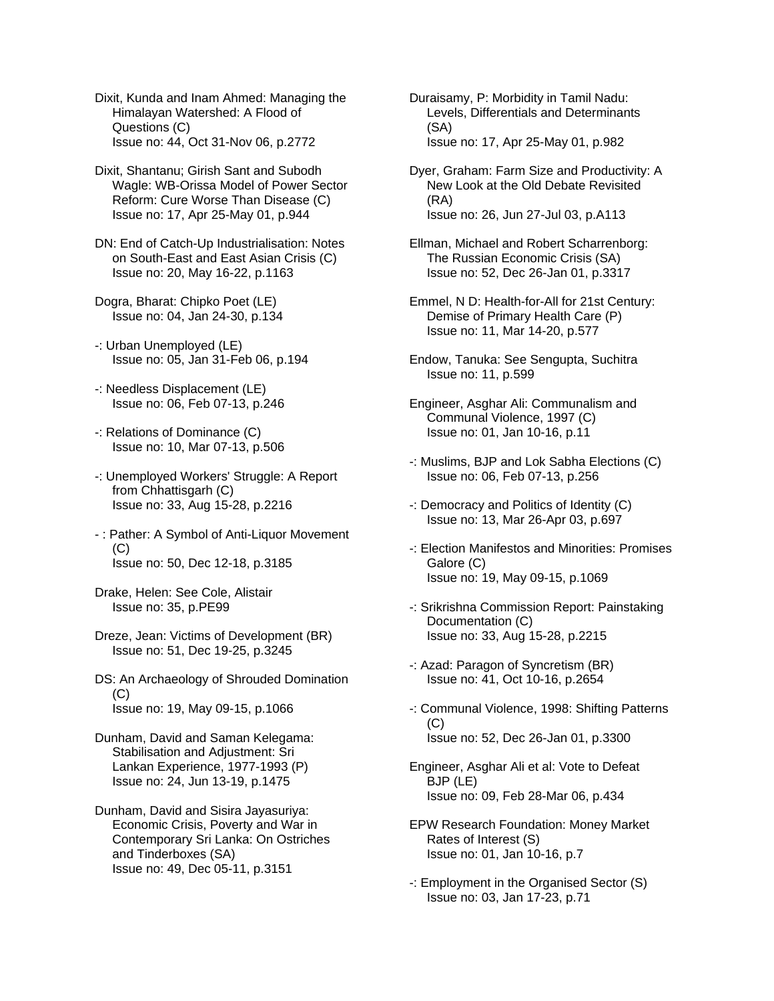Dixit, Kunda and Inam Ahmed: Managing the Himalayan Watershed: A Flood of Questions (C) Issue no: 44, Oct 31-Nov 06, p.2772

Dixit, Shantanu; Girish Sant and Subodh Wagle: WB-Orissa Model of Power Sector Reform: Cure Worse Than Disease (C) Issue no: 17, Apr 25-May 01, p.944

DN: End of Catch-Up Industrialisation: Notes on South-East and East Asian Crisis (C) Issue no: 20, May 16-22, p.1163

Dogra, Bharat: Chipko Poet (LE) Issue no: 04, Jan 24-30, p.134

-: Urban Unemployed (LE) Issue no: 05, Jan 31-Feb 06, p.194

- -: Needless Displacement (LE) Issue no: 06, Feb 07-13, p.246
- -: Relations of Dominance (C) Issue no: 10, Mar 07-13, p.506
- -: Unemployed Workers' Struggle: A Report from Chhattisgarh (C) Issue no: 33, Aug 15-28, p.2216
- : Pather: A Symbol of Anti-Liquor Movement (C) Issue no: 50, Dec 12-18, p.3185
- Drake, Helen: See Cole, Alistair Issue no: 35, p.PE99
- Dreze, Jean: Victims of Development (BR) Issue no: 51, Dec 19-25, p.3245
- DS: An Archaeology of Shrouded Domination (C) Issue no: 19, May 09-15, p.1066
- Dunham, David and Saman Kelegama: Stabilisation and Adjustment: Sri Lankan Experience, 1977-1993 (P) Issue no: 24, Jun 13-19, p.1475
- Dunham, David and Sisira Jayasuriya: Economic Crisis, Poverty and War in Contemporary Sri Lanka: On Ostriches and Tinderboxes (SA) Issue no: 49, Dec 05-11, p.3151

Duraisamy, P: Morbidity in Tamil Nadu: Levels, Differentials and Determinants (SA) Issue no: 17, Apr 25-May 01, p.982

- Dyer, Graham: Farm Size and Productivity: A New Look at the Old Debate Revisited (RA) Issue no: 26, Jun 27-Jul 03, p.A113
- Ellman, Michael and Robert Scharrenborg: The Russian Economic Crisis (SA) Issue no: 52, Dec 26-Jan 01, p.3317
- Emmel, N D: Health-for-All for 21st Century: Demise of Primary Health Care (P) Issue no: 11, Mar 14-20, p.577
- Endow, Tanuka: See Sengupta, Suchitra Issue no: 11, p.599
- Engineer, Asghar Ali: Communalism and Communal Violence, 1997 (C) Issue no: 01, Jan 10-16, p.11
- -: Muslims, BJP and Lok Sabha Elections (C) Issue no: 06, Feb 07-13, p.256
- -: Democracy and Politics of Identity (C) Issue no: 13, Mar 26-Apr 03, p.697
- -: Election Manifestos and Minorities: Promises Galore (C) Issue no: 19, May 09-15, p.1069
- -: Srikrishna Commission Report: Painstaking Documentation (C) Issue no: 33, Aug 15-28, p.2215
- -: Azad: Paragon of Syncretism (BR) Issue no: 41, Oct 10-16, p.2654
- -: Communal Violence, 1998: Shifting Patterns (C) Issue no: 52, Dec 26-Jan 01, p.3300
- Engineer, Asghar Ali et al: Vote to Defeat BJP (LE) Issue no: 09, Feb 28-Mar 06, p.434
- EPW Research Foundation: Money Market Rates of Interest (S) Issue no: 01, Jan 10-16, p.7
- -: Employment in the Organised Sector (S) Issue no: 03, Jan 17-23, p.71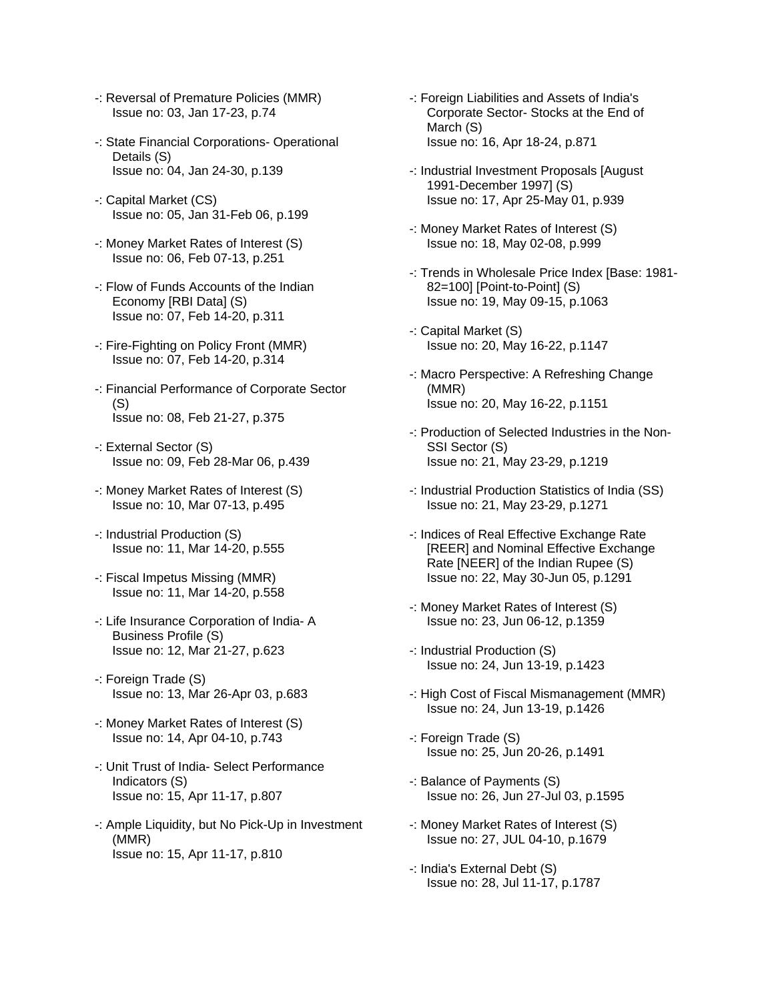- -: Reversal of Premature Policies (MMR) Issue no: 03, Jan 17-23, p.74
- -: State Financial Corporations- Operational Details (S) Issue no: 04, Jan 24-30, p.139
- -: Capital Market (CS) Issue no: 05, Jan 31-Feb 06, p.199
- -: Money Market Rates of Interest (S) Issue no: 06, Feb 07-13, p.251
- -: Flow of Funds Accounts of the Indian Economy [RBI Data] (S) Issue no: 07, Feb 14-20, p.311
- -: Fire-Fighting on Policy Front (MMR) Issue no: 07, Feb 14-20, p.314
- -: Financial Performance of Corporate Sector  $(S)$ Issue no: 08, Feb 21-27, p.375
- -: External Sector (S) Issue no: 09, Feb 28-Mar 06, p.439
- -: Money Market Rates of Interest (S) Issue no: 10, Mar 07-13, p.495
- -: Industrial Production (S) Issue no: 11, Mar 14-20, p.555
- -: Fiscal Impetus Missing (MMR) Issue no: 11, Mar 14-20, p.558
- -: Life Insurance Corporation of India- A Business Profile (S) Issue no: 12, Mar 21-27, p.623
- -: Foreign Trade (S) Issue no: 13, Mar 26-Apr 03, p.683
- -: Money Market Rates of Interest (S) Issue no: 14, Apr 04-10, p.743
- -: Unit Trust of India- Select Performance Indicators (S) Issue no: 15, Apr 11-17, p.807
- -: Ample Liquidity, but No Pick-Up in Investment (MMR) Issue no: 15, Apr 11-17, p.810
- -: Foreign Liabilities and Assets of India's Corporate Sector- Stocks at the End of March (S) Issue no: 16, Apr 18-24, p.871
- -: Industrial Investment Proposals [August 1991-December 1997] (S) Issue no: 17, Apr 25-May 01, p.939
- -: Money Market Rates of Interest (S) Issue no: 18, May 02-08, p.999
- -: Trends in Wholesale Price Index [Base: 1981- 82=100] [Point-to-Point] (S) Issue no: 19, May 09-15, p.1063
- -: Capital Market (S) Issue no: 20, May 16-22, p.1147
- -: Macro Perspective: A Refreshing Change (MMR) Issue no: 20, May 16-22, p.1151
- -: Production of Selected Industries in the Non- SSI Sector (S) Issue no: 21, May 23-29, p.1219
- -: Industrial Production Statistics of India (SS) Issue no: 21, May 23-29, p.1271
- -: Indices of Real Effective Exchange Rate [REER] and Nominal Effective Exchange Rate [NEER] of the Indian Rupee (S) Issue no: 22, May 30-Jun 05, p.1291
- -: Money Market Rates of Interest (S) Issue no: 23, Jun 06-12, p.1359
- -: Industrial Production (S) Issue no: 24, Jun 13-19, p.1423
- -: High Cost of Fiscal Mismanagement (MMR) Issue no: 24, Jun 13-19, p.1426
- -: Foreign Trade (S) Issue no: 25, Jun 20-26, p.1491
- -: Balance of Payments (S) Issue no: 26, Jun 27-Jul 03, p.1595
- -: Money Market Rates of Interest (S) Issue no: 27, JUL 04-10, p.1679
- -: India's External Debt (S) Issue no: 28, Jul 11-17, p.1787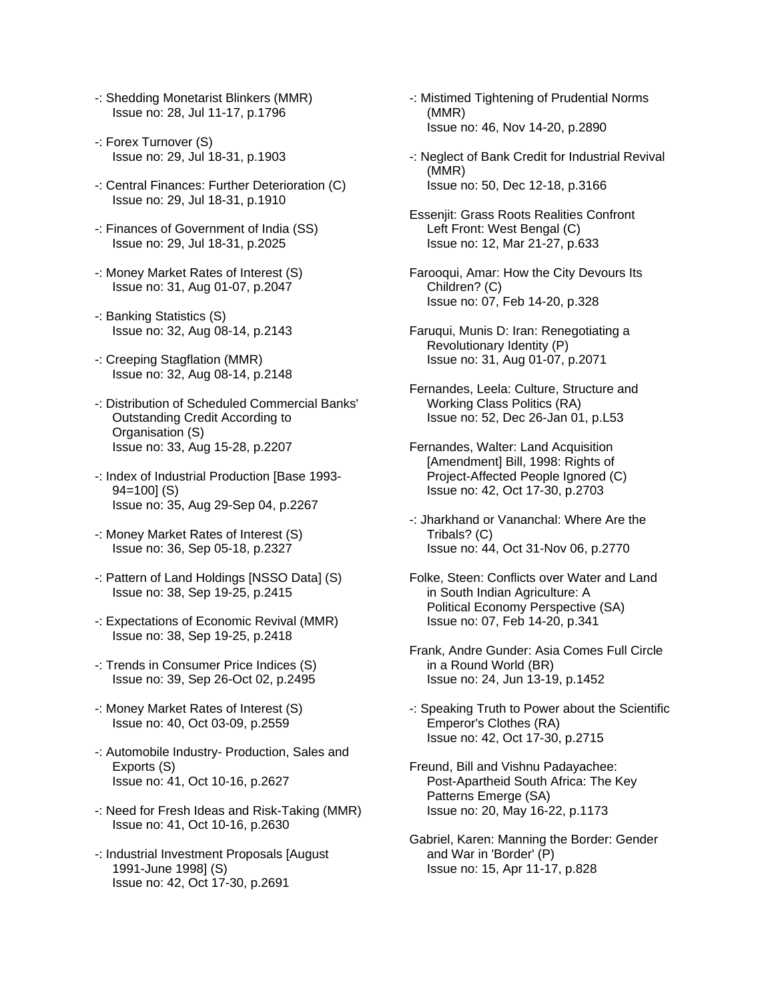- -: Shedding Monetarist Blinkers (MMR) Issue no: 28, Jul 11-17, p.1796
- -: Forex Turnover (S) Issue no: 29, Jul 18-31, p.1903
- -: Central Finances: Further Deterioration (C) Issue no: 29, Jul 18-31, p.1910
- -: Finances of Government of India (SS) Issue no: 29, Jul 18-31, p.2025
- -: Money Market Rates of Interest (S) Issue no: 31, Aug 01-07, p.2047
- -: Banking Statistics (S) Issue no: 32, Aug 08-14, p.2143
- -: Creeping Stagflation (MMR) Issue no: 32, Aug 08-14, p.2148
- -: Distribution of Scheduled Commercial Banks' Outstanding Credit According to Organisation (S) Issue no: 33, Aug 15-28, p.2207
- -: Index of Industrial Production [Base 1993- 94=100] (S) Issue no: 35, Aug 29-Sep 04, p.2267
- -: Money Market Rates of Interest (S) Issue no: 36, Sep 05-18, p.2327
- -: Pattern of Land Holdings [NSSO Data] (S) Issue no: 38, Sep 19-25, p.2415
- -: Expectations of Economic Revival (MMR) Issue no: 38, Sep 19-25, p.2418
- -: Trends in Consumer Price Indices (S) Issue no: 39, Sep 26-Oct 02, p.2495
- -: Money Market Rates of Interest (S) Issue no: 40, Oct 03-09, p.2559
- -: Automobile Industry- Production, Sales and Exports (S) Issue no: 41, Oct 10-16, p.2627
- -: Need for Fresh Ideas and Risk-Taking (MMR) Issue no: 41, Oct 10-16, p.2630
- -: Industrial Investment Proposals [August 1991-June 1998] (S) Issue no: 42, Oct 17-30, p.2691
- -: Mistimed Tightening of Prudential Norms (MMR) Issue no: 46, Nov 14-20, p.2890
- -: Neglect of Bank Credit for Industrial Revival (MMR) Issue no: 50, Dec 12-18, p.3166
- Essenjit: Grass Roots Realities Confront Left Front: West Bengal (C) Issue no: 12, Mar 21-27, p.633
- Farooqui, Amar: How the City Devours Its Children? (C) Issue no: 07, Feb 14-20, p.328
- Faruqui, Munis D: Iran: Renegotiating a Revolutionary Identity (P) Issue no: 31, Aug 01-07, p.2071
- Fernandes, Leela: Culture, Structure and Working Class Politics (RA) Issue no: 52, Dec 26-Jan 01, p.L53
- Fernandes, Walter: Land Acquisition [Amendment] Bill, 1998: Rights of Project-Affected People Ignored (C) Issue no: 42, Oct 17-30, p.2703
- -: Jharkhand or Vananchal: Where Are the Tribals? (C) Issue no: 44, Oct 31-Nov 06, p.2770
- Folke, Steen: Conflicts over Water and Land in South Indian Agriculture: A Political Economy Perspective (SA) Issue no: 07, Feb 14-20, p.341
- Frank, Andre Gunder: Asia Comes Full Circle in a Round World (BR) Issue no: 24, Jun 13-19, p.1452
- -: Speaking Truth to Power about the Scientific Emperor's Clothes (RA) Issue no: 42, Oct 17-30, p.2715
- Freund, Bill and Vishnu Padayachee: Post-Apartheid South Africa: The Key Patterns Emerge (SA) Issue no: 20, May 16-22, p.1173
- Gabriel, Karen: Manning the Border: Gender and War in 'Border' (P) Issue no: 15, Apr 11-17, p.828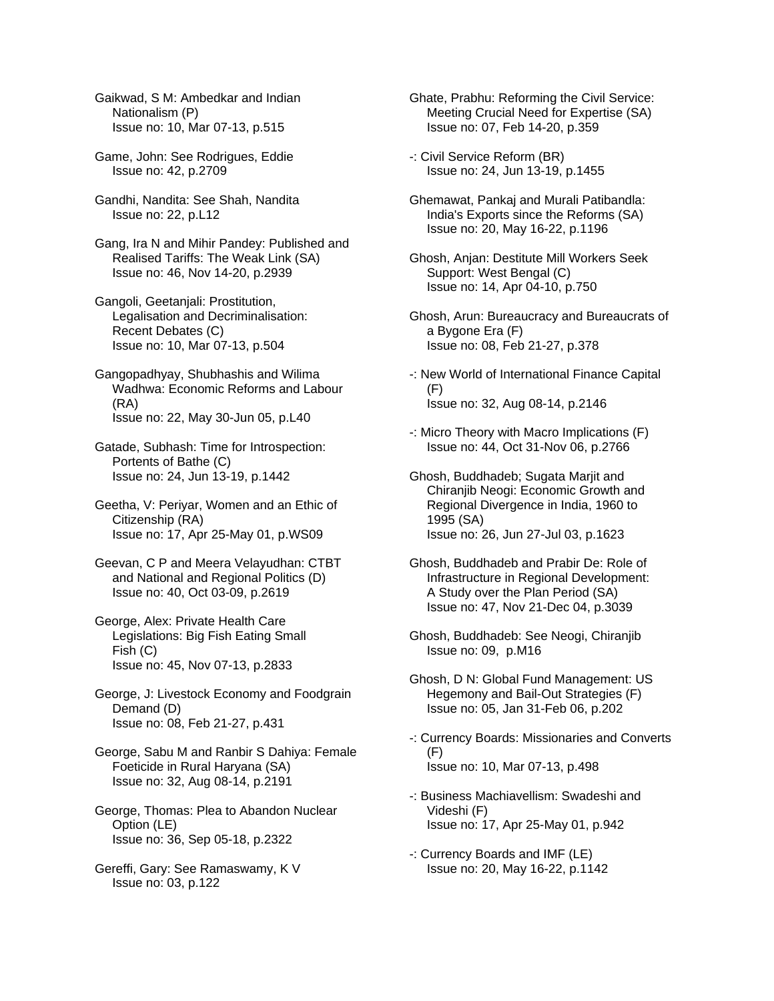Gaikwad, S M: Ambedkar and Indian Nationalism (P) Issue no: 10, Mar 07-13, p.515

Game, John: See Rodrigues, Eddie Issue no: 42, p.2709

Gandhi, Nandita: See Shah, Nandita Issue no: 22, p.L12

Gang, Ira N and Mihir Pandey: Published and Realised Tariffs: The Weak Link (SA) Issue no: 46, Nov 14-20, p.2939

Gangoli, Geetanjali: Prostitution, Legalisation and Decriminalisation: Recent Debates (C) Issue no: 10, Mar 07-13, p.504

Gangopadhyay, Shubhashis and Wilima Wadhwa: Economic Reforms and Labour (RA) Issue no: 22, May 30-Jun 05, p.L40

Gatade, Subhash: Time for Introspection: Portents of Bathe (C) Issue no: 24, Jun 13-19, p.1442

Geetha, V: Periyar, Women and an Ethic of Citizenship (RA) Issue no: 17, Apr 25-May 01, p.WS09

Geevan, C P and Meera Velayudhan: CTBT and National and Regional Politics (D) Issue no: 40, Oct 03-09, p.2619

George, Alex: Private Health Care Legislations: Big Fish Eating Small Fish (C) Issue no: 45, Nov 07-13, p.2833

George, J: Livestock Economy and Foodgrain Demand (D) Issue no: 08, Feb 21-27, p.431

George, Sabu M and Ranbir S Dahiya: Female Foeticide in Rural Haryana (SA) Issue no: 32, Aug 08-14, p.2191

George, Thomas: Plea to Abandon Nuclear Option (LE) Issue no: 36, Sep 05-18, p.2322

Gereffi, Gary: See Ramaswamy, K V Issue no: 03, p.122

Ghate, Prabhu: Reforming the Civil Service: Meeting Crucial Need for Expertise (SA) Issue no: 07, Feb 14-20, p.359

-: Civil Service Reform (BR) Issue no: 24, Jun 13-19, p.1455

Ghemawat, Pankaj and Murali Patibandla: India's Exports since the Reforms (SA) Issue no: 20, May 16-22, p.1196

Ghosh, Anjan: Destitute Mill Workers Seek Support: West Bengal (C) Issue no: 14, Apr 04-10, p.750

Ghosh, Arun: Bureaucracy and Bureaucrats of a Bygone Era (F) Issue no: 08, Feb 21-27, p.378

-: New World of International Finance Capital (F) Issue no: 32, Aug 08-14, p.2146

-: Micro Theory with Macro Implications (F) Issue no: 44, Oct 31-Nov 06, p.2766

Ghosh, Buddhadeb; Sugata Marjit and Chiranjib Neogi: Economic Growth and Regional Divergence in India, 1960 to 1995 (SA) Issue no: 26, Jun 27-Jul 03, p.1623

Ghosh, Buddhadeb and Prabir De: Role of Infrastructure in Regional Development: A Study over the Plan Period (SA) Issue no: 47, Nov 21-Dec 04, p.3039

Ghosh, Buddhadeb: See Neogi, Chiranjib Issue no: 09, p.M16

Ghosh, D N: Global Fund Management: US Hegemony and Bail-Out Strategies (F) Issue no: 05, Jan 31-Feb 06, p.202

-: Currency Boards: Missionaries and Converts (F) Issue no: 10, Mar 07-13, p.498

-: Business Machiavellism: Swadeshi and Videshi (F) Issue no: 17, Apr 25-May 01, p.942

-: Currency Boards and IMF (LE) Issue no: 20, May 16-22, p.1142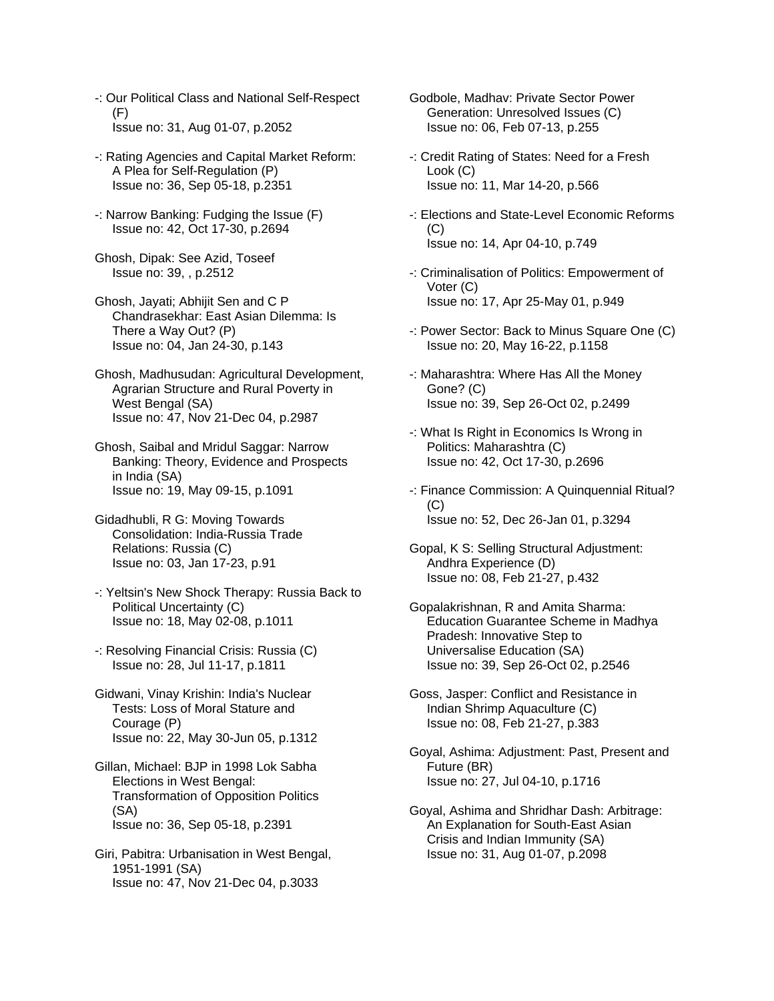- -: Our Political Class and National Self-Respect (F) Issue no: 31, Aug 01-07, p.2052
- -: Rating Agencies and Capital Market Reform: A Plea for Self-Regulation (P) Issue no: 36, Sep 05-18, p.2351
- -: Narrow Banking: Fudging the Issue (F) Issue no: 42, Oct 17-30, p.2694
- Ghosh, Dipak: See Azid, Toseef Issue no: 39, , p.2512
- Ghosh, Jayati; Abhijit Sen and C P Chandrasekhar: East Asian Dilemma: Is There a Way Out? (P) Issue no: 04, Jan 24-30, p.143
- Ghosh, Madhusudan: Agricultural Development, Agrarian Structure and Rural Poverty in West Bengal (SA) Issue no: 47, Nov 21-Dec 04, p.2987
- Ghosh, Saibal and Mridul Saggar: Narrow Banking: Theory, Evidence and Prospects in India (SA) Issue no: 19, May 09-15, p.1091
- Gidadhubli, R G: Moving Towards Consolidation: India-Russia Trade Relations: Russia (C) Issue no: 03, Jan 17-23, p.91
- -: Yeltsin's New Shock Therapy: Russia Back to Political Uncertainty (C) Issue no: 18, May 02-08, p.1011
- -: Resolving Financial Crisis: Russia (C) Issue no: 28, Jul 11-17, p.1811
- Gidwani, Vinay Krishin: India's Nuclear Tests: Loss of Moral Stature and Courage (P) Issue no: 22, May 30-Jun 05, p.1312
- Gillan, Michael: BJP in 1998 Lok Sabha Elections in West Bengal: Transformation of Opposition Politics (SA) Issue no: 36, Sep 05-18, p.2391
- Giri, Pabitra: Urbanisation in West Bengal, 1951-1991 (SA) Issue no: 47, Nov 21-Dec 04, p.3033
- Godbole, Madhav: Private Sector Power Generation: Unresolved Issues (C) Issue no: 06, Feb 07-13, p.255
- -: Credit Rating of States: Need for a Fresh Look (C) Issue no: 11, Mar 14-20, p.566
- -: Elections and State-Level Economic Reforms  $(C)$ Issue no: 14, Apr 04-10, p.749
- -: Criminalisation of Politics: Empowerment of Voter (C) Issue no: 17, Apr 25-May 01, p.949
- -: Power Sector: Back to Minus Square One (C) Issue no: 20, May 16-22, p.1158
- -: Maharashtra: Where Has All the Money Gone? (C) Issue no: 39, Sep 26-Oct 02, p.2499
- -: What Is Right in Economics Is Wrong in Politics: Maharashtra (C) Issue no: 42, Oct 17-30, p.2696
- -: Finance Commission: A Quinquennial Ritual?  $(C)$ Issue no: 52, Dec 26-Jan 01, p.3294
- Gopal, K S: Selling Structural Adjustment: Andhra Experience (D) Issue no: 08, Feb 21-27, p.432
- Gopalakrishnan, R and Amita Sharma: Education Guarantee Scheme in Madhya Pradesh: Innovative Step to Universalise Education (SA) Issue no: 39, Sep 26-Oct 02, p.2546
- Goss, Jasper: Conflict and Resistance in Indian Shrimp Aquaculture (C) Issue no: 08, Feb 21-27, p.383
- Goyal, Ashima: Adjustment: Past, Present and Future (BR) Issue no: 27, Jul 04-10, p.1716
- Goyal, Ashima and Shridhar Dash: Arbitrage: An Explanation for South-East Asian Crisis and Indian Immunity (SA) Issue no: 31, Aug 01-07, p.2098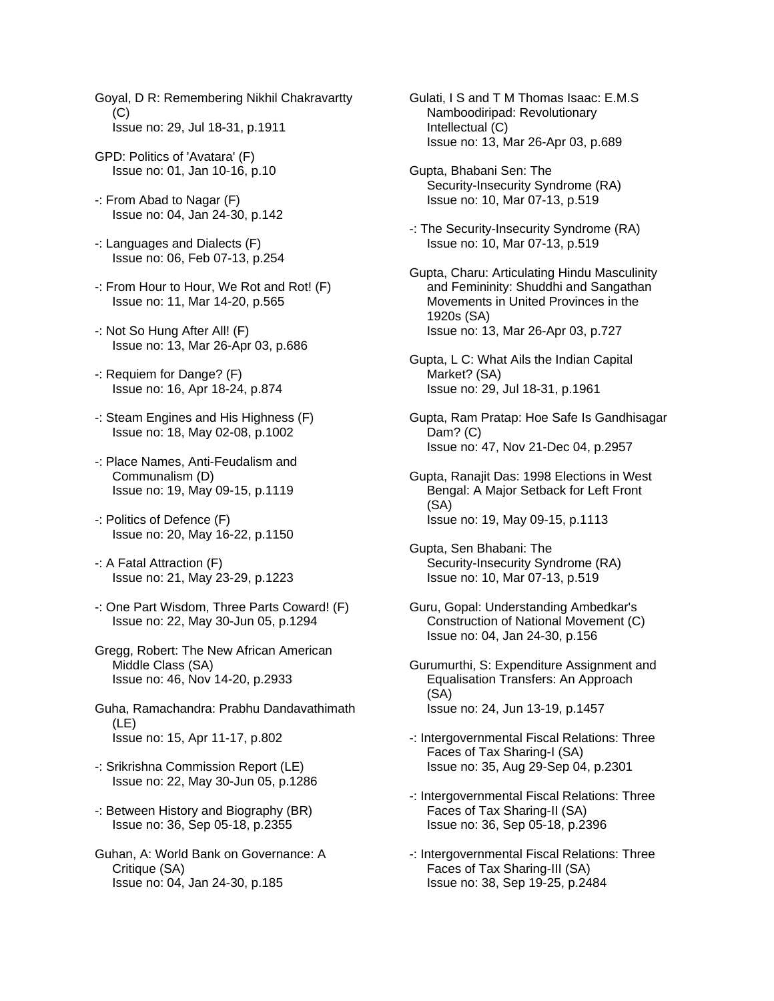- Goyal, D R: Remembering Nikhil Chakravartty  $(C)$ Issue no: 29, Jul 18-31, p.1911
- GPD: Politics of 'Avatara' (F) Issue no: 01, Jan 10-16, p.10
- -: From Abad to Nagar (F) Issue no: 04, Jan 24-30, p.142
- -: Languages and Dialects (F) Issue no: 06, Feb 07-13, p.254
- -: From Hour to Hour, We Rot and Rot! (F) Issue no: 11, Mar 14-20, p.565
- -: Not So Hung After All! (F) Issue no: 13, Mar 26-Apr 03, p.686
- -: Requiem for Dange? (F) Issue no: 16, Apr 18-24, p.874
- -: Steam Engines and His Highness (F) Issue no: 18, May 02-08, p.1002
- -: Place Names, Anti-Feudalism and Communalism (D) Issue no: 19, May 09-15, p.1119
- -: Politics of Defence (F) Issue no: 20, May 16-22, p.1150
- -: A Fatal Attraction (F) Issue no: 21, May 23-29, p.1223
- -: One Part Wisdom, Three Parts Coward! (F) Issue no: 22, May 30-Jun 05, p.1294
- Gregg, Robert: The New African American Middle Class (SA) Issue no: 46, Nov 14-20, p.2933
- Guha, Ramachandra: Prabhu Dandavathimath (LE) Issue no: 15, Apr 11-17, p.802
- -: Srikrishna Commission Report (LE) Issue no: 22, May 30-Jun 05, p.1286
- -: Between History and Biography (BR) Issue no: 36, Sep 05-18, p.2355
- Guhan, A: World Bank on Governance: A Critique (SA) Issue no: 04, Jan 24-30, p.185
- Gulati, I S and T M Thomas Isaac: E.M.S Namboodiripad: Revolutionary Intellectual (C) Issue no: 13, Mar 26-Apr 03, p.689
- Gupta, Bhabani Sen: The Security-Insecurity Syndrome (RA) Issue no: 10, Mar 07-13, p.519
- -: The Security-Insecurity Syndrome (RA) Issue no: 10, Mar 07-13, p.519
- Gupta, Charu: Articulating Hindu Masculinity and Femininity: Shuddhi and Sangathan Movements in United Provinces in the 1920s (SA) Issue no: 13, Mar 26-Apr 03, p.727
- Gupta, L C: What Ails the Indian Capital Market? (SA) Issue no: 29, Jul 18-31, p.1961
- Gupta, Ram Pratap: Hoe Safe Is Gandhisagar Dam? (C) Issue no: 47, Nov 21-Dec 04, p.2957
- Gupta, Ranajit Das: 1998 Elections in West Bengal: A Major Setback for Left Front (SA) Issue no: 19, May 09-15, p.1113
- Gupta, Sen Bhabani: The Security-Insecurity Syndrome (RA) Issue no: 10, Mar 07-13, p.519
- Guru, Gopal: Understanding Ambedkar's Construction of National Movement (C) Issue no: 04, Jan 24-30, p.156
- Gurumurthi, S: Expenditure Assignment and Equalisation Transfers: An Approach (SA) Issue no: 24, Jun 13-19, p.1457
- -: Intergovernmental Fiscal Relations: Three Faces of Tax Sharing-I (SA) Issue no: 35, Aug 29-Sep 04, p.2301
- -: Intergovernmental Fiscal Relations: Three Faces of Tax Sharing-II (SA) Issue no: 36, Sep 05-18, p.2396
- -: Intergovernmental Fiscal Relations: Three Faces of Tax Sharing-III (SA) Issue no: 38, Sep 19-25, p.2484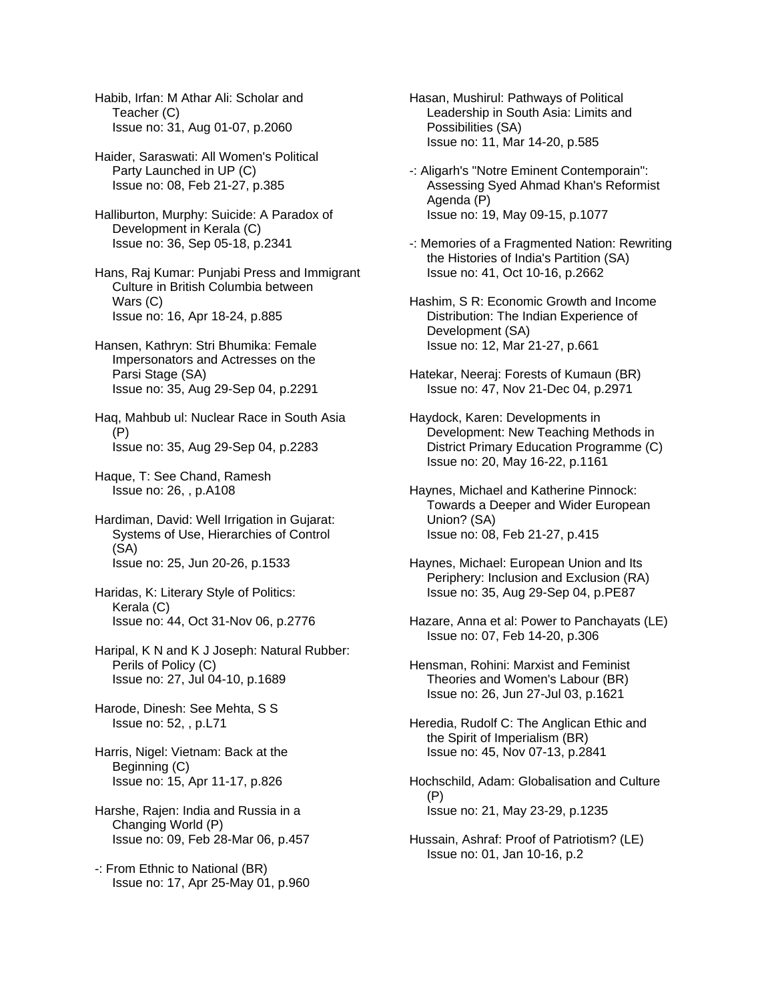Habib, Irfan: M Athar Ali: Scholar and Teacher (C) Issue no: 31, Aug 01-07, p.2060

Haider, Saraswati: All Women's Political Party Launched in UP (C) Issue no: 08, Feb 21-27, p.385

Halliburton, Murphy: Suicide: A Paradox of Development in Kerala (C) Issue no: 36, Sep 05-18, p.2341

Hans, Raj Kumar: Punjabi Press and Immigrant Culture in British Columbia between Wars (C) Issue no: 16, Apr 18-24, p.885

Hansen, Kathryn: Stri Bhumika: Female Impersonators and Actresses on the Parsi Stage (SA) Issue no: 35, Aug 29-Sep 04, p.2291

Haq, Mahbub ul: Nuclear Race in South Asia (P) Issue no: 35, Aug 29-Sep 04, p.2283

Haque, T: See Chand, Ramesh Issue no: 26, , p.A108

Hardiman, David: Well Irrigation in Gujarat: Systems of Use, Hierarchies of Control (SA) Issue no: 25, Jun 20-26, p.1533

Haridas, K: Literary Style of Politics: Kerala (C) Issue no: 44, Oct 31-Nov 06, p.2776

Haripal, K N and K J Joseph: Natural Rubber: Perils of Policy (C) Issue no: 27, Jul 04-10, p.1689

Harode, Dinesh: See Mehta, S S Issue no: 52, , p.L71

- Harris, Nigel: Vietnam: Back at the Beginning (C) Issue no: 15, Apr 11-17, p.826
- Harshe, Rajen: India and Russia in a Changing World (P) Issue no: 09, Feb 28-Mar 06, p.457

-: From Ethnic to National (BR) Issue no: 17, Apr 25-May 01, p.960 Hasan, Mushirul: Pathways of Political Leadership in South Asia: Limits and Possibilities (SA) Issue no: 11, Mar 14-20, p.585

- -: Aligarh's "Notre Eminent Contemporain": Assessing Syed Ahmad Khan's Reformist Agenda (P) Issue no: 19, May 09-15, p.1077
- -: Memories of a Fragmented Nation: Rewriting the Histories of India's Partition (SA) Issue no: 41, Oct 10-16, p.2662
- Hashim, S R: Economic Growth and Income Distribution: The Indian Experience of Development (SA) Issue no: 12, Mar 21-27, p.661
- Hatekar, Neeraj: Forests of Kumaun (BR) Issue no: 47, Nov 21-Dec 04, p.2971

Haydock, Karen: Developments in Development: New Teaching Methods in District Primary Education Programme (C) Issue no: 20, May 16-22, p.1161

Haynes, Michael and Katherine Pinnock: Towards a Deeper and Wider European Union? (SA) Issue no: 08, Feb 21-27, p.415

- Haynes, Michael: European Union and Its Periphery: Inclusion and Exclusion (RA) Issue no: 35, Aug 29-Sep 04, p.PE87
- Hazare, Anna et al: Power to Panchayats (LE) Issue no: 07, Feb 14-20, p.306

Hensman, Rohini: Marxist and Feminist Theories and Women's Labour (BR) Issue no: 26, Jun 27-Jul 03, p.1621

Heredia, Rudolf C: The Anglican Ethic and the Spirit of Imperialism (BR) Issue no: 45, Nov 07-13, p.2841

Hochschild, Adam: Globalisation and Culture (P) Issue no: 21, May 23-29, p.1235

Hussain, Ashraf: Proof of Patriotism? (LE) Issue no: 01, Jan 10-16, p.2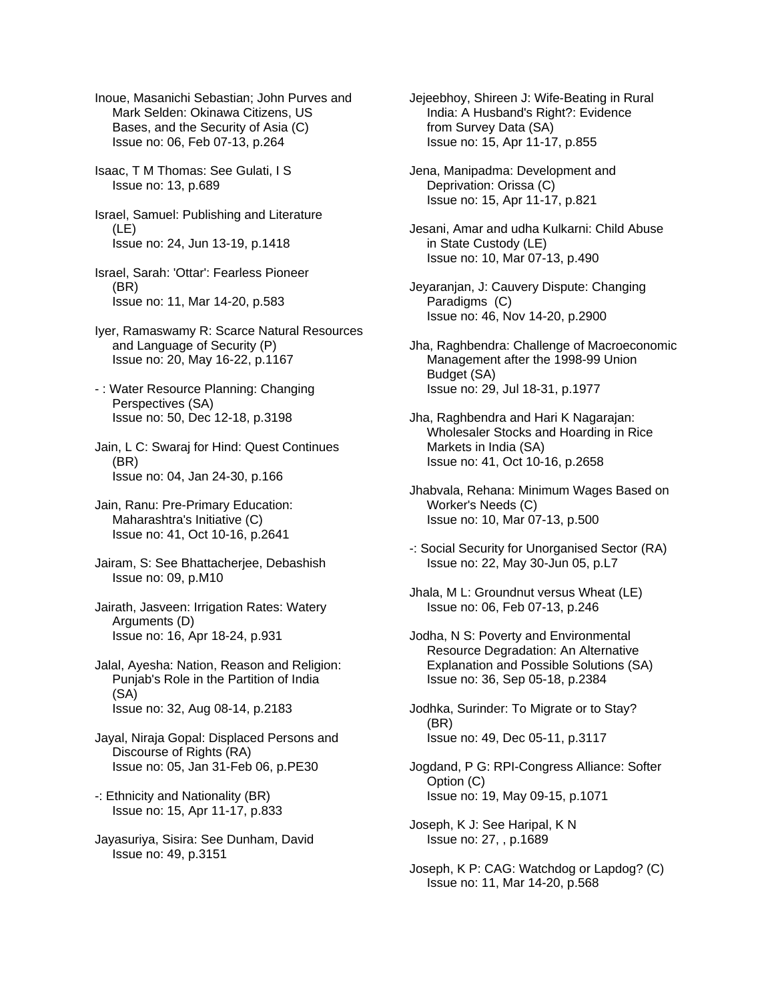Inoue, Masanichi Sebastian; John Purves and Mark Selden: Okinawa Citizens, US Bases, and the Security of Asia (C) Issue no: 06, Feb 07-13, p.264

Isaac, T M Thomas: See Gulati, I S Issue no: 13, p.689

Israel, Samuel: Publishing and Literature (LE) Issue no: 24, Jun 13-19, p.1418

Israel, Sarah: 'Ottar': Fearless Pioneer (BR) Issue no: 11, Mar 14-20, p.583

Iyer, Ramaswamy R: Scarce Natural Resources and Language of Security (P) Issue no: 20, May 16-22, p.1167

- : Water Resource Planning: Changing Perspectives (SA) Issue no: 50, Dec 12-18, p.3198

Jain, L C: Swaraj for Hind: Quest Continues (BR) Issue no: 04, Jan 24-30, p.166

Jain, Ranu: Pre-Primary Education: Maharashtra's Initiative (C) Issue no: 41, Oct 10-16, p.2641

Jairam, S: See Bhattacherjee, Debashish Issue no: 09, p.M10

Jairath, Jasveen: Irrigation Rates: Watery Arguments (D) Issue no: 16, Apr 18-24, p.931

Jalal, Ayesha: Nation, Reason and Religion: Punjab's Role in the Partition of India (SA) Issue no: 32, Aug 08-14, p.2183

Jayal, Niraja Gopal: Displaced Persons and Discourse of Rights (RA) Issue no: 05, Jan 31-Feb 06, p.PE30

-: Ethnicity and Nationality (BR) Issue no: 15, Apr 11-17, p.833

Jayasuriya, Sisira: See Dunham, David Issue no: 49, p.3151

Jejeebhoy, Shireen J: Wife-Beating in Rural India: A Husband's Right?: Evidence from Survey Data (SA) Issue no: 15, Apr 11-17, p.855

Jena, Manipadma: Development and Deprivation: Orissa (C) Issue no: 15, Apr 11-17, p.821

Jesani, Amar and udha Kulkarni: Child Abuse in State Custody (LE) Issue no: 10, Mar 07-13, p.490

Jeyaranjan, J: Cauvery Dispute: Changing Paradigms (C) Issue no: 46, Nov 14-20, p.2900

Jha, Raghbendra: Challenge of Macroeconomic Management after the 1998-99 Union Budget (SA) Issue no: 29, Jul 18-31, p.1977

Jha, Raghbendra and Hari K Nagarajan: Wholesaler Stocks and Hoarding in Rice Markets in India (SA) Issue no: 41, Oct 10-16, p.2658

Jhabvala, Rehana: Minimum Wages Based on Worker's Needs (C) Issue no: 10, Mar 07-13, p.500

-: Social Security for Unorganised Sector (RA) Issue no: 22, May 30-Jun 05, p.L7

Jhala, M L: Groundnut versus Wheat (LE) Issue no: 06, Feb 07-13, p.246

Jodha, N S: Poverty and Environmental Resource Degradation: An Alternative Explanation and Possible Solutions (SA) Issue no: 36, Sep 05-18, p.2384

Jodhka, Surinder: To Migrate or to Stay? (BR) Issue no: 49, Dec 05-11, p.3117

Jogdand, P G: RPI-Congress Alliance: Softer Option (C) Issue no: 19, May 09-15, p.1071

Joseph, K J: See Haripal, K N Issue no: 27, , p.1689

Joseph, K P: CAG: Watchdog or Lapdog? (C) Issue no: 11, Mar 14-20, p.568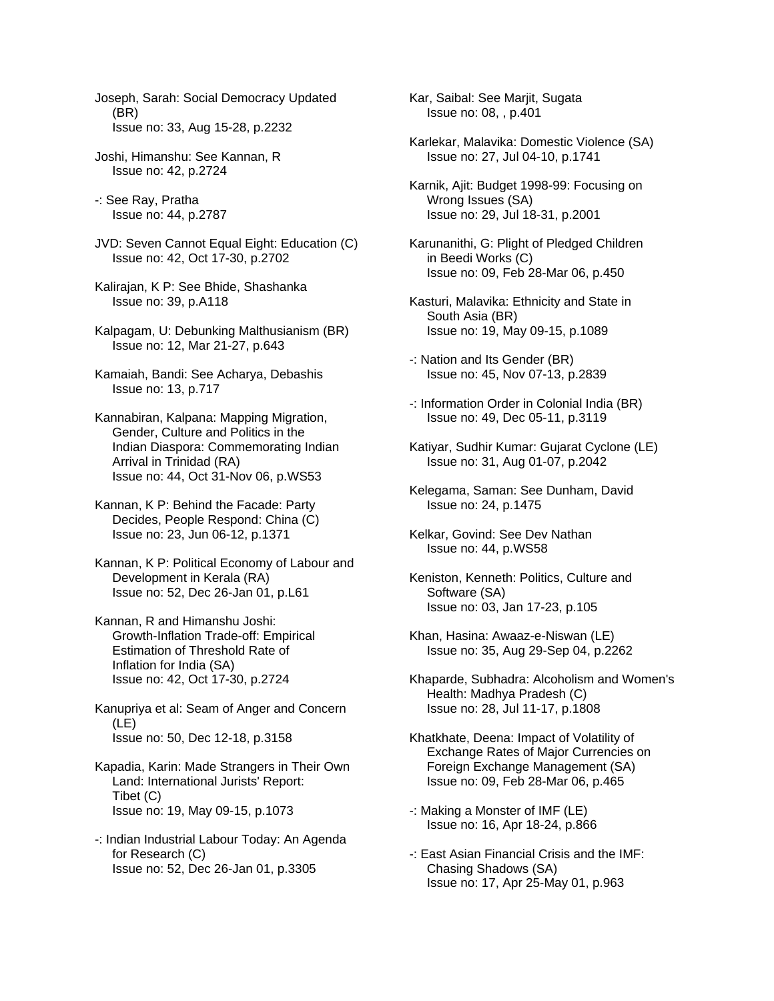Joseph, Sarah: Social Democracy Updated (BR) Issue no: 33, Aug 15-28, p.2232

Joshi, Himanshu: See Kannan, R Issue no: 42, p.2724

-: See Ray, Pratha Issue no: 44, p.2787

JVD: Seven Cannot Equal Eight: Education (C) Issue no: 42, Oct 17-30, p.2702

Kalirajan, K P: See Bhide, Shashanka Issue no: 39, p.A118

Kalpagam, U: Debunking Malthusianism (BR) Issue no: 12, Mar 21-27, p.643

Kamaiah, Bandi: See Acharya, Debashis Issue no: 13, p.717

Kannabiran, Kalpana: Mapping Migration, Gender, Culture and Politics in the Indian Diaspora: Commemorating Indian Arrival in Trinidad (RA) Issue no: 44, Oct 31-Nov 06, p.WS53

Kannan, K P: Behind the Facade: Party Decides, People Respond: China (C) Issue no: 23, Jun 06-12, p.1371

Kannan, K P: Political Economy of Labour and Development in Kerala (RA) Issue no: 52, Dec 26-Jan 01, p.L61

Kannan, R and Himanshu Joshi: Growth-Inflation Trade-off: Empirical Estimation of Threshold Rate of Inflation for India (SA) Issue no: 42, Oct 17-30, p.2724

Kanupriya et al: Seam of Anger and Concern (LE) Issue no: 50, Dec 12-18, p.3158

Kapadia, Karin: Made Strangers in Their Own Land: International Jurists' Report: Tibet (C) Issue no: 19, May 09-15, p.1073

-: Indian Industrial Labour Today: An Agenda for Research (C) Issue no: 52, Dec 26-Jan 01, p.3305

Kar, Saibal: See Marjit, Sugata Issue no: 08, , p.401

Karlekar, Malavika: Domestic Violence (SA) Issue no: 27, Jul 04-10, p.1741

Karnik, Ajit: Budget 1998-99: Focusing on Wrong Issues (SA) Issue no: 29, Jul 18-31, p.2001

Karunanithi, G: Plight of Pledged Children in Beedi Works (C) Issue no: 09, Feb 28-Mar 06, p.450

Kasturi, Malavika: Ethnicity and State in South Asia (BR) Issue no: 19, May 09-15, p.1089

-: Nation and Its Gender (BR) Issue no: 45, Nov 07-13, p.2839

-: Information Order in Colonial India (BR) Issue no: 49, Dec 05-11, p.3119

Katiyar, Sudhir Kumar: Gujarat Cyclone (LE) Issue no: 31, Aug 01-07, p.2042

Kelegama, Saman: See Dunham, David Issue no: 24, p.1475

Kelkar, Govind: See Dev Nathan Issue no: 44, p.WS58

Keniston, Kenneth: Politics, Culture and Software (SA) Issue no: 03, Jan 17-23, p.105

Khan, Hasina: Awaaz-e-Niswan (LE) Issue no: 35, Aug 29-Sep 04, p.2262

Khaparde, Subhadra: Alcoholism and Women's Health: Madhya Pradesh (C) Issue no: 28, Jul 11-17, p.1808

Khatkhate, Deena: Impact of Volatility of Exchange Rates of Major Currencies on Foreign Exchange Management (SA) Issue no: 09, Feb 28-Mar 06, p.465

-: Making a Monster of IMF (LE) Issue no: 16, Apr 18-24, p.866

-: East Asian Financial Crisis and the IMF: Chasing Shadows (SA) Issue no: 17, Apr 25-May 01, p.963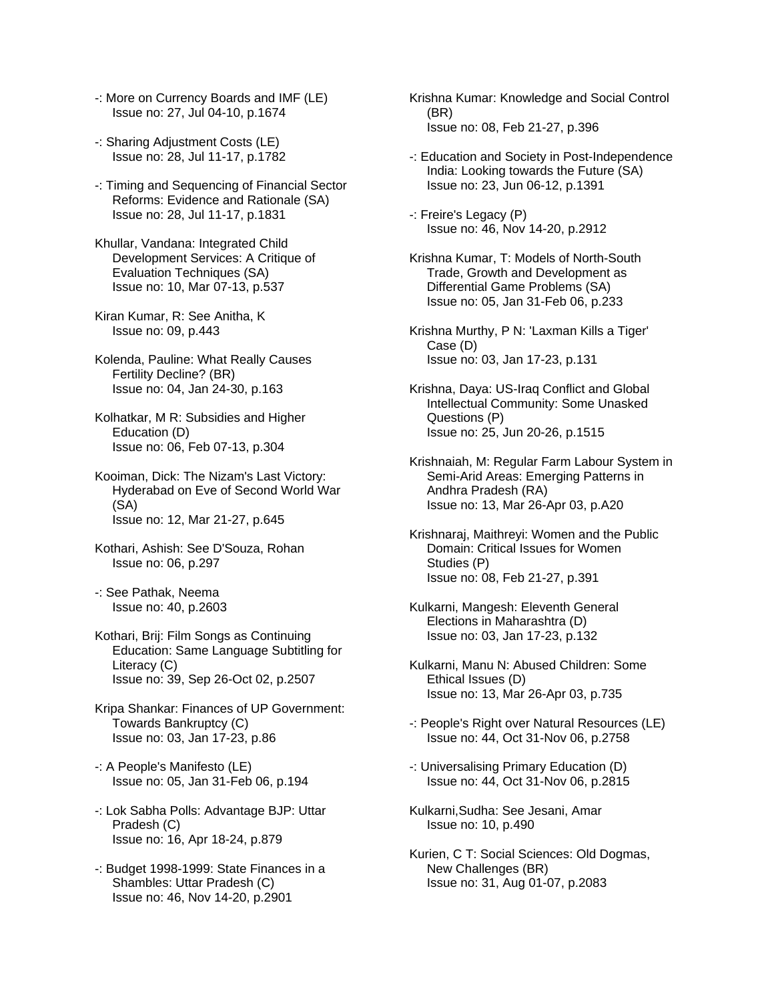- -: More on Currency Boards and IMF (LE) Issue no: 27, Jul 04-10, p.1674
- -: Sharing Adjustment Costs (LE) Issue no: 28, Jul 11-17, p.1782
- -: Timing and Sequencing of Financial Sector Reforms: Evidence and Rationale (SA) Issue no: 28, Jul 11-17, p.1831
- Khullar, Vandana: Integrated Child Development Services: A Critique of Evaluation Techniques (SA) Issue no: 10, Mar 07-13, p.537
- Kiran Kumar, R: See Anitha, K Issue no: 09, p.443
- Kolenda, Pauline: What Really Causes Fertility Decline? (BR) Issue no: 04, Jan 24-30, p.163
- Kolhatkar, M R: Subsidies and Higher Education (D) Issue no: 06, Feb 07-13, p.304
- Kooiman, Dick: The Nizam's Last Victory: Hyderabad on Eve of Second World War (SA) Issue no: 12, Mar 21-27, p.645
- Kothari, Ashish: See D'Souza, Rohan Issue no: 06, p.297
- -: See Pathak, Neema Issue no: 40, p.2603
- Kothari, Brij: Film Songs as Continuing Education: Same Language Subtitling for Literacy (C) Issue no: 39, Sep 26-Oct 02, p.2507
- Kripa Shankar: Finances of UP Government: Towards Bankruptcy (C) Issue no: 03, Jan 17-23, p.86
- -: A People's Manifesto (LE) Issue no: 05, Jan 31-Feb 06, p.194
- -: Lok Sabha Polls: Advantage BJP: Uttar Pradesh (C) Issue no: 16, Apr 18-24, p.879
- -: Budget 1998-1999: State Finances in a Shambles: Uttar Pradesh (C) Issue no: 46, Nov 14-20, p.2901
- Krishna Kumar: Knowledge and Social Control (BR) Issue no: 08, Feb 21-27, p.396
- -: Education and Society in Post-Independence India: Looking towards the Future (SA) Issue no: 23, Jun 06-12, p.1391
- -: Freire's Legacy (P) Issue no: 46, Nov 14-20, p.2912
- Krishna Kumar, T: Models of North-South Trade, Growth and Development as Differential Game Problems (SA) Issue no: 05, Jan 31-Feb 06, p.233
- Krishna Murthy, P N: 'Laxman Kills a Tiger' Case (D) Issue no: 03, Jan 17-23, p.131
- Krishna, Daya: US-Iraq Conflict and Global Intellectual Community: Some Unasked Questions (P) Issue no: 25, Jun 20-26, p.1515
- Krishnaiah, M: Regular Farm Labour System in Semi-Arid Areas: Emerging Patterns in Andhra Pradesh (RA) Issue no: 13, Mar 26-Apr 03, p.A20
- Krishnaraj, Maithreyi: Women and the Public Domain: Critical Issues for Women Studies (P) Issue no: 08, Feb 21-27, p.391
- Kulkarni, Mangesh: Eleventh General Elections in Maharashtra (D) Issue no: 03, Jan 17-23, p.132
- Kulkarni, Manu N: Abused Children: Some Ethical Issues (D) Issue no: 13, Mar 26-Apr 03, p.735
- -: People's Right over Natural Resources (LE) Issue no: 44, Oct 31-Nov 06, p.2758
- -: Universalising Primary Education (D) Issue no: 44, Oct 31-Nov 06, p.2815
- Kulkarni,Sudha: See Jesani, Amar Issue no: 10, p.490
- Kurien, C T: Social Sciences: Old Dogmas, New Challenges (BR) Issue no: 31, Aug 01-07, p.2083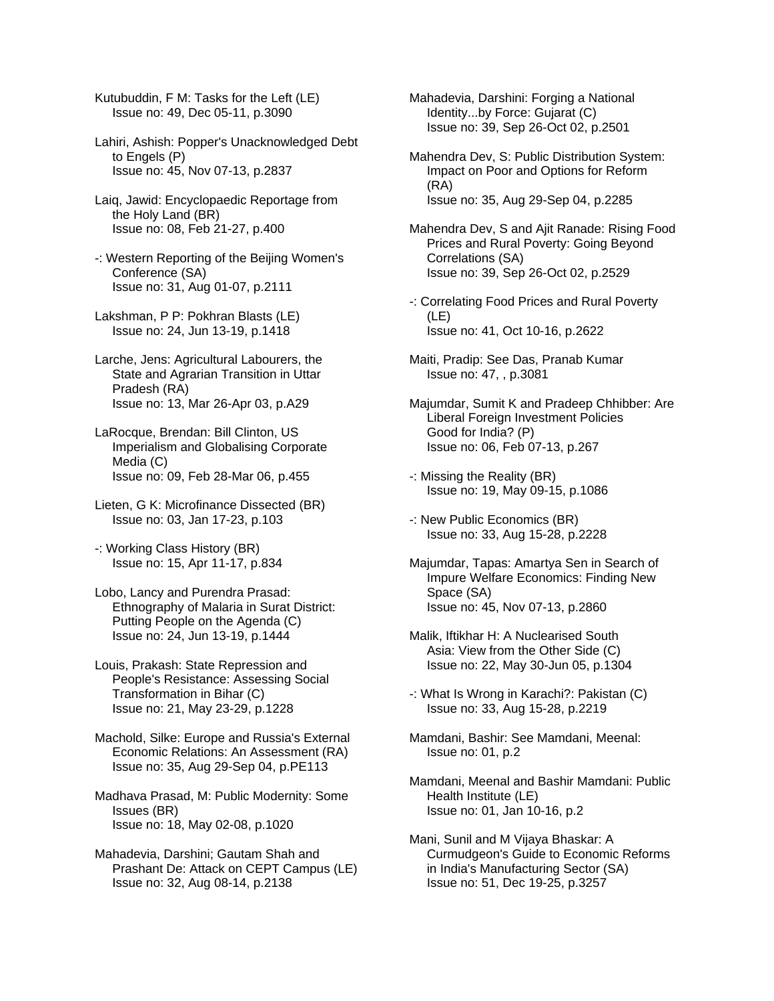Kutubuddin, F M: Tasks for the Left (LE) Issue no: 49, Dec 05-11, p.3090

Lahiri, Ashish: Popper's Unacknowledged Debt to Engels (P) Issue no: 45, Nov 07-13, p.2837

Laiq, Jawid: Encyclopaedic Reportage from the Holy Land (BR) Issue no: 08, Feb 21-27, p.400

-: Western Reporting of the Beijing Women's Conference (SA) Issue no: 31, Aug 01-07, p.2111

Lakshman, P P: Pokhran Blasts (LE) Issue no: 24, Jun 13-19, p.1418

Larche, Jens: Agricultural Labourers, the State and Agrarian Transition in Uttar Pradesh (RA) Issue no: 13, Mar 26-Apr 03, p.A29

LaRocque, Brendan: Bill Clinton, US Imperialism and Globalising Corporate Media (C) Issue no: 09, Feb 28-Mar 06, p.455

Lieten, G K: Microfinance Dissected (BR) Issue no: 03, Jan 17-23, p.103

-: Working Class History (BR) Issue no: 15, Apr 11-17, p.834

Lobo, Lancy and Purendra Prasad: Ethnography of Malaria in Surat District: Putting People on the Agenda (C) Issue no: 24, Jun 13-19, p.1444

Louis, Prakash: State Repression and People's Resistance: Assessing Social Transformation in Bihar (C) Issue no: 21, May 23-29, p.1228

Machold, Silke: Europe and Russia's External Economic Relations: An Assessment (RA) Issue no: 35, Aug 29-Sep 04, p.PE113

Madhava Prasad, M: Public Modernity: Some Issues (BR) Issue no: 18, May 02-08, p.1020

Mahadevia, Darshini; Gautam Shah and Prashant De: Attack on CEPT Campus (LE) Issue no: 32, Aug 08-14, p.2138

Mahadevia, Darshini: Forging a National Identity...by Force: Gujarat (C) Issue no: 39, Sep 26-Oct 02, p.2501

Mahendra Dev, S: Public Distribution System: Impact on Poor and Options for Reform (RA) Issue no: 35, Aug 29-Sep 04, p.2285

Mahendra Dev, S and Ajit Ranade: Rising Food Prices and Rural Poverty: Going Beyond Correlations (SA) Issue no: 39, Sep 26-Oct 02, p.2529

-: Correlating Food Prices and Rural Poverty (LE) Issue no: 41, Oct 10-16, p.2622

Maiti, Pradip: See Das, Pranab Kumar Issue no: 47, , p.3081

Majumdar, Sumit K and Pradeep Chhibber: Are Liberal Foreign Investment Policies Good for India? (P) Issue no: 06, Feb 07-13, p.267

-: Missing the Reality (BR) Issue no: 19, May 09-15, p.1086

-: New Public Economics (BR) Issue no: 33, Aug 15-28, p.2228

Majumdar, Tapas: Amartya Sen in Search of Impure Welfare Economics: Finding New Space (SA) Issue no: 45, Nov 07-13, p.2860

Malik, Iftikhar H: A Nuclearised South Asia: View from the Other Side (C) Issue no: 22, May 30-Jun 05, p.1304

-: What Is Wrong in Karachi?: Pakistan (C) Issue no: 33, Aug 15-28, p.2219

Mamdani, Bashir: See Mamdani, Meenal: Issue no: 01, p.2

Mamdani, Meenal and Bashir Mamdani: Public Health Institute (LE) Issue no: 01, Jan 10-16, p.2

Mani, Sunil and M Vijaya Bhaskar: A Curmudgeon's Guide to Economic Reforms in India's Manufacturing Sector (SA) Issue no: 51, Dec 19-25, p.3257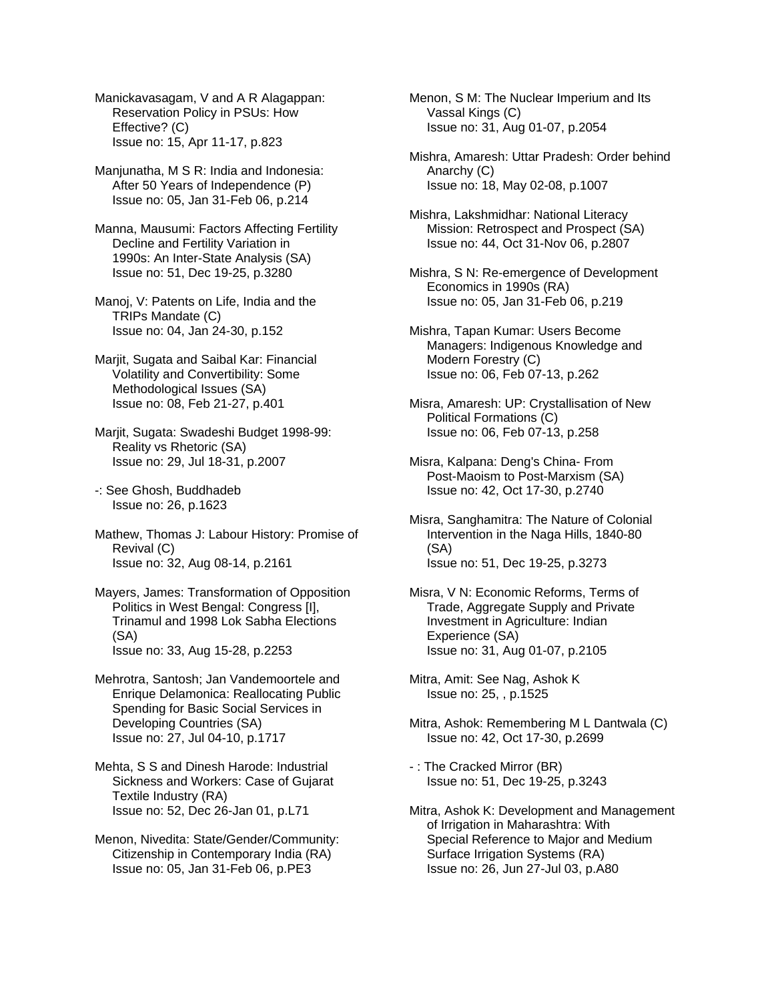Manickavasagam, V and A R Alagappan: Reservation Policy in PSUs: How Effective? (C) Issue no: 15, Apr 11-17, p.823

Manjunatha, M S R: India and Indonesia: After 50 Years of Independence (P) Issue no: 05, Jan 31-Feb 06, p.214

Manna, Mausumi: Factors Affecting Fertility Decline and Fertility Variation in 1990s: An Inter-State Analysis (SA) Issue no: 51, Dec 19-25, p.3280

Manoj, V: Patents on Life, India and the TRIPs Mandate (C) Issue no: 04, Jan 24-30, p.152

Marjit, Sugata and Saibal Kar: Financial Volatility and Convertibility: Some Methodological Issues (SA) Issue no: 08, Feb 21-27, p.401

Marjit, Sugata: Swadeshi Budget 1998-99: Reality vs Rhetoric (SA) Issue no: 29, Jul 18-31, p.2007

-: See Ghosh, Buddhadeb Issue no: 26, p.1623

Mathew, Thomas J: Labour History: Promise of Revival (C) Issue no: 32, Aug 08-14, p.2161

Mayers, James: Transformation of Opposition Politics in West Bengal: Congress [I], Trinamul and 1998 Lok Sabha Elections (SA) Issue no: 33, Aug 15-28, p.2253

Mehrotra, Santosh; Jan Vandemoortele and Enrique Delamonica: Reallocating Public Spending for Basic Social Services in Developing Countries (SA) Issue no: 27, Jul 04-10, p.1717

Mehta, S S and Dinesh Harode: Industrial Sickness and Workers: Case of Gujarat Textile Industry (RA) Issue no: 52, Dec 26-Jan 01, p.L71

Menon, Nivedita: State/Gender/Community: Citizenship in Contemporary India (RA) Issue no: 05, Jan 31-Feb 06, p.PE3

Menon, S M: The Nuclear Imperium and Its Vassal Kings (C) Issue no: 31, Aug 01-07, p.2054

Mishra, Amaresh: Uttar Pradesh: Order behind Anarchy (C) Issue no: 18, May 02-08, p.1007

Mishra, Lakshmidhar: National Literacy Mission: Retrospect and Prospect (SA) Issue no: 44, Oct 31-Nov 06, p.2807

Mishra, S N: Re-emergence of Development Economics in 1990s (RA) Issue no: 05, Jan 31-Feb 06, p.219

Mishra, Tapan Kumar: Users Become Managers: Indigenous Knowledge and Modern Forestry (C) Issue no: 06, Feb 07-13, p.262

Misra, Amaresh: UP: Crystallisation of New Political Formations (C) Issue no: 06, Feb 07-13, p.258

Misra, Kalpana: Deng's China- From Post-Maoism to Post-Marxism (SA) Issue no: 42, Oct 17-30, p.2740

Misra, Sanghamitra: The Nature of Colonial Intervention in the Naga Hills, 1840-80 (SA) Issue no: 51, Dec 19-25, p.3273

Misra, V N: Economic Reforms, Terms of Trade, Aggregate Supply and Private Investment in Agriculture: Indian Experience (SA) Issue no: 31, Aug 01-07, p.2105

Mitra, Amit: See Nag, Ashok K Issue no: 25, , p.1525

Mitra, Ashok: Remembering M L Dantwala (C) Issue no: 42, Oct 17-30, p.2699

- : The Cracked Mirror (BR) Issue no: 51, Dec 19-25, p.3243

Mitra, Ashok K: Development and Management of Irrigation in Maharashtra: With Special Reference to Major and Medium Surface Irrigation Systems (RA) Issue no: 26, Jun 27-Jul 03, p.A80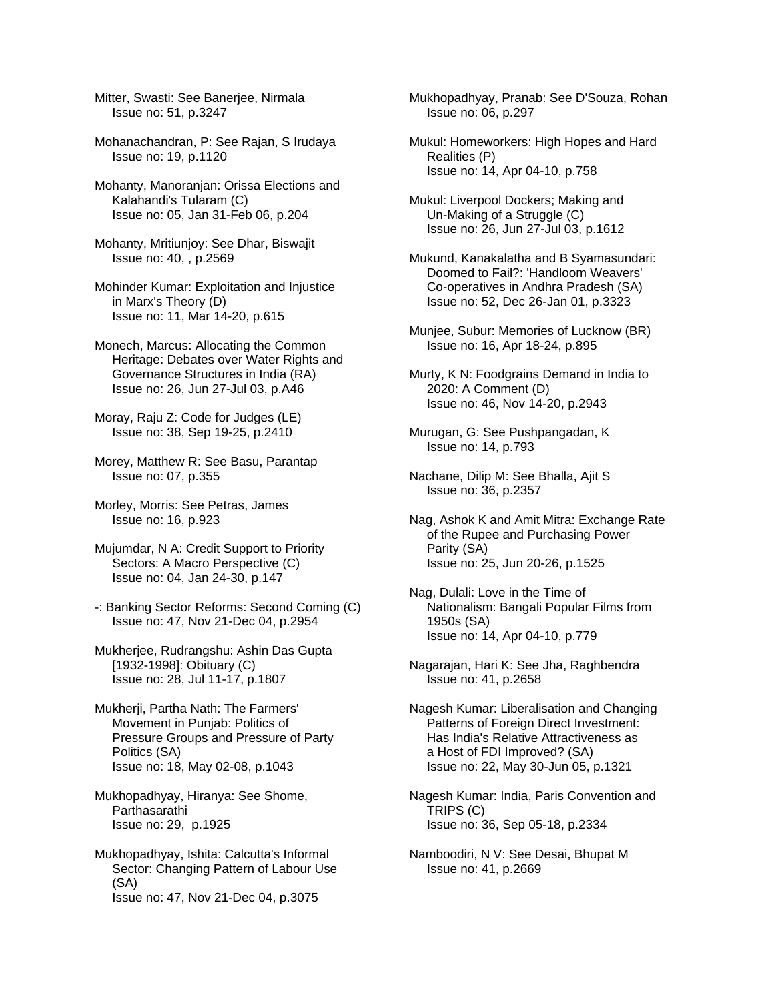Mitter, Swasti: See Banerjee, Nirmala Issue no: 51, p.3247

Mohanachandran, P: See Rajan, S Irudaya Issue no: 19, p.1120

Mohanty, Manoranjan: Orissa Elections and Kalahandi's Tularam (C) Issue no: 05, Jan 31-Feb 06, p.204

Mohanty, Mritiunjoy: See Dhar, Biswajit Issue no: 40, , p.2569

Mohinder Kumar: Exploitation and Injustice in Marx's Theory (D) Issue no: 11, Mar 14-20, p.615

Monech, Marcus: Allocating the Common Heritage: Debates over Water Rights and Governance Structures in India (RA) Issue no: 26, Jun 27-Jul 03, p.A46

Moray, Raju Z: Code for Judges (LE) Issue no: 38, Sep 19-25, p.2410

Morey, Matthew R: See Basu, Parantap Issue no: 07, p.355

Morley, Morris: See Petras, James Issue no: 16, p.923

Mujumdar, N A: Credit Support to Priority Sectors: A Macro Perspective (C) Issue no: 04, Jan 24-30, p.147

-: Banking Sector Reforms: Second Coming (C) Issue no: 47, Nov 21-Dec 04, p.2954

Mukherjee, Rudrangshu: Ashin Das Gupta [1932-1998]: Obituary (C) Issue no: 28, Jul 11-17, p.1807

Mukherji, Partha Nath: The Farmers' Movement in Punjab: Politics of Pressure Groups and Pressure of Party Politics (SA) Issue no: 18, May 02-08, p.1043

Mukhopadhyay, Hiranya: See Shome, Parthasarathi Issue no: 29, p.1925

Mukhopadhyay, Ishita: Calcutta's Informal Sector: Changing Pattern of Labour Use (SA) Issue no: 47, Nov 21-Dec 04, p.3075

Mukhopadhyay, Pranab: See D'Souza, Rohan Issue no: 06, p.297

Mukul: Homeworkers: High Hopes and Hard Realities (P) Issue no: 14, Apr 04-10, p.758

Mukul: Liverpool Dockers; Making and Un-Making of a Struggle (C) Issue no: 26, Jun 27-Jul 03, p.1612

Mukund, Kanakalatha and B Syamasundari: Doomed to Fail?: 'Handloom Weavers' Co-operatives in Andhra Pradesh (SA) Issue no: 52, Dec 26-Jan 01, p.3323

Munjee, Subur: Memories of Lucknow (BR) Issue no: 16, Apr 18-24, p.895

Murty, K N: Foodgrains Demand in India to 2020: A Comment (D) Issue no: 46, Nov 14-20, p.2943

Murugan, G: See Pushpangadan, K Issue no: 14, p.793

Nachane, Dilip M: See Bhalla, Ajit S Issue no: 36, p.2357

Nag, Ashok K and Amit Mitra: Exchange Rate of the Rupee and Purchasing Power Parity (SA) Issue no: 25, Jun 20-26, p.1525

Nag, Dulali: Love in the Time of Nationalism: Bangali Popular Films from 1950s (SA) Issue no: 14, Apr 04-10, p.779

Nagarajan, Hari K: See Jha, Raghbendra Issue no: 41, p.2658

Nagesh Kumar: Liberalisation and Changing Patterns of Foreign Direct Investment: Has India's Relative Attractiveness as a Host of FDI Improved? (SA) Issue no: 22, May 30-Jun 05, p.1321

Nagesh Kumar: India, Paris Convention and TRIPS (C) Issue no: 36, Sep 05-18, p.2334

Namboodiri, N V: See Desai, Bhupat M Issue no: 41, p.2669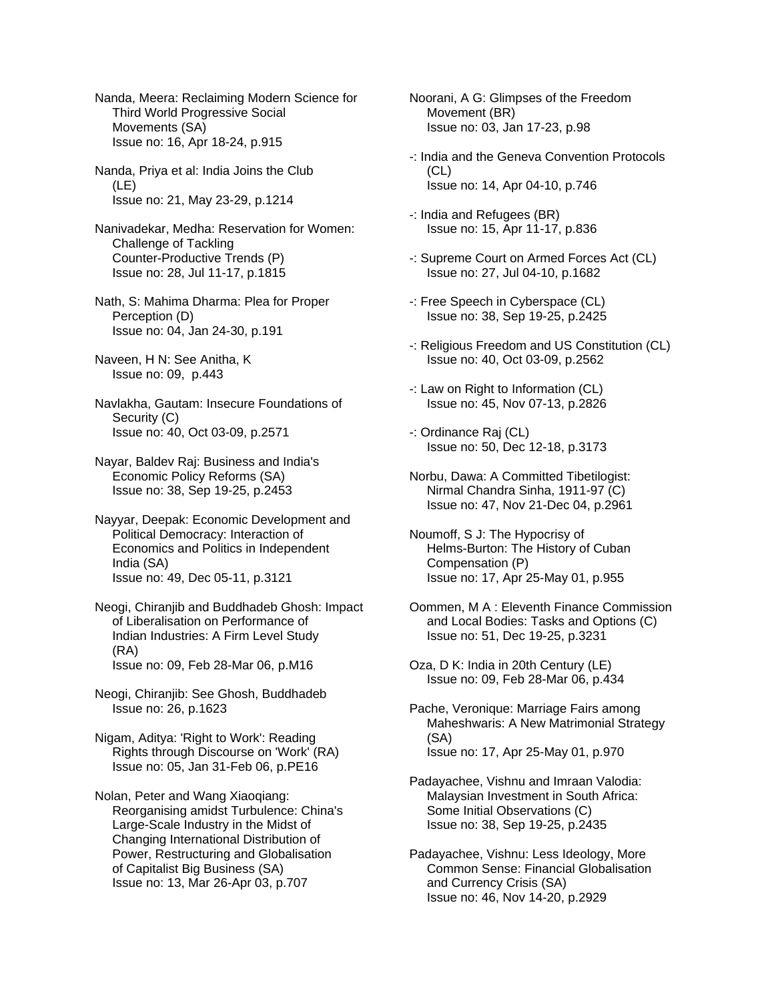Nanda, Meera: Reclaiming Modern Science for Third World Progressive Social Movements (SA) Issue no: 16, Apr 18-24, p.915

Nanda, Priya et al: India Joins the Club (LE) Issue no: 21, May 23-29, p.1214

Nanivadekar, Medha: Reservation for Women: Challenge of Tackling Counter-Productive Trends (P) Issue no: 28, Jul 11-17, p.1815

Nath, S: Mahima Dharma: Plea for Proper Perception (D) Issue no: 04, Jan 24-30, p.191

Naveen, H N: See Anitha, K Issue no: 09, p.443

Navlakha, Gautam: Insecure Foundations of Security (C) Issue no: 40, Oct 03-09, p.2571

Nayar, Baldev Raj: Business and India's Economic Policy Reforms (SA) Issue no: 38, Sep 19-25, p.2453

Nayyar, Deepak: Economic Development and Political Democracy: Interaction of Economics and Politics in Independent India (SA) Issue no: 49, Dec 05-11, p.3121

Neogi, Chiranjib and Buddhadeb Ghosh: Impact of Liberalisation on Performance of Indian Industries: A Firm Level Study (RA) Issue no: 09, Feb 28-Mar 06, p.M16

Neogi, Chiranjib: See Ghosh, Buddhadeb Issue no: 26, p.1623

Nigam, Aditya: 'Right to Work': Reading Rights through Discourse on 'Work' (RA) Issue no: 05, Jan 31-Feb 06, p.PE16

Nolan, Peter and Wang Xiaoqiang: Reorganising amidst Turbulence: China's Large-Scale Industry in the Midst of Changing International Distribution of Power, Restructuring and Globalisation of Capitalist Big Business (SA) Issue no: 13, Mar 26-Apr 03, p.707

Noorani, A G: Glimpses of the Freedom Movement (BR) Issue no: 03, Jan 17-23, p.98

-: India and the Geneva Convention Protocols  $(CL)$ Issue no: 14, Apr 04-10, p.746

-: India and Refugees (BR) Issue no: 15, Apr 11-17, p.836

- -: Supreme Court on Armed Forces Act (CL) Issue no: 27, Jul 04-10, p.1682
- -: Free Speech in Cyberspace (CL) Issue no: 38, Sep 19-25, p.2425
- -: Religious Freedom and US Constitution (CL) Issue no: 40, Oct 03-09, p.2562
- -: Law on Right to Information (CL) Issue no: 45, Nov 07-13, p.2826

-: Ordinance Raj (CL) Issue no: 50, Dec 12-18, p.3173

Norbu, Dawa: A Committed Tibetilogist: Nirmal Chandra Sinha, 1911-97 (C) Issue no: 47, Nov 21-Dec 04, p.2961

Noumoff, S J: The Hypocrisy of Helms-Burton: The History of Cuban Compensation (P) Issue no: 17, Apr 25-May 01, p.955

Oommen, M A : Eleventh Finance Commission and Local Bodies: Tasks and Options (C) Issue no: 51, Dec 19-25, p.3231

Oza, D K: India in 20th Century (LE) Issue no: 09, Feb 28-Mar 06, p.434

Pache, Veronique: Marriage Fairs among Maheshwaris: A New Matrimonial Strategy (SA) Issue no: 17, Apr 25-May 01, p.970

Padayachee, Vishnu and Imraan Valodia: Malaysian Investment in South Africa: Some Initial Observations (C) Issue no: 38, Sep 19-25, p.2435

Padayachee, Vishnu: Less Ideology, More Common Sense: Financial Globalisation and Currency Crisis (SA) Issue no: 46, Nov 14-20, p.2929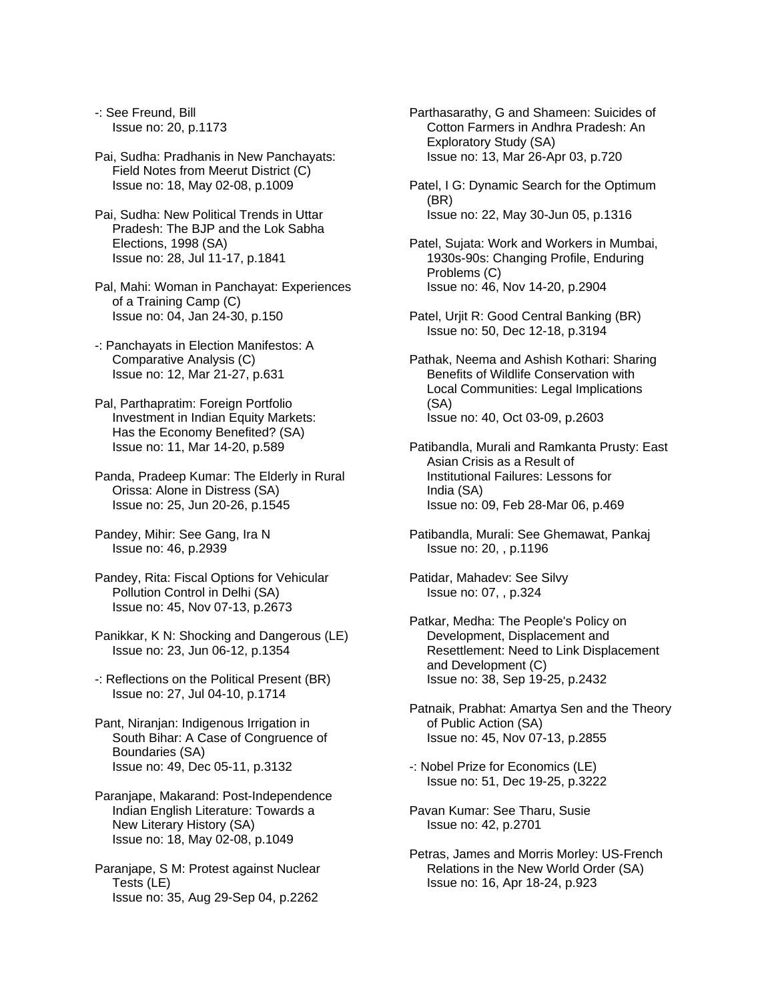-: See Freund, Bill Issue no: 20, p.1173

Pai, Sudha: Pradhanis in New Panchayats: Field Notes from Meerut District (C) Issue no: 18, May 02-08, p.1009

Pai, Sudha: New Political Trends in Uttar Pradesh: The BJP and the Lok Sabha Elections, 1998 (SA) Issue no: 28, Jul 11-17, p.1841

Pal, Mahi: Woman in Panchayat: Experiences of a Training Camp (C) Issue no: 04, Jan 24-30, p.150

-: Panchayats in Election Manifestos: A Comparative Analysis (C) Issue no: 12, Mar 21-27, p.631

Pal, Parthapratim: Foreign Portfolio Investment in Indian Equity Markets: Has the Economy Benefited? (SA) Issue no: 11, Mar 14-20, p.589

Panda, Pradeep Kumar: The Elderly in Rural Orissa: Alone in Distress (SA) Issue no: 25, Jun 20-26, p.1545

Pandey, Mihir: See Gang, Ira N Issue no: 46, p.2939

Pandey, Rita: Fiscal Options for Vehicular Pollution Control in Delhi (SA) Issue no: 45, Nov 07-13, p.2673

- Panikkar, K N: Shocking and Dangerous (LE) Issue no: 23, Jun 06-12, p.1354
- -: Reflections on the Political Present (BR) Issue no: 27, Jul 04-10, p.1714
- Pant, Niranjan: Indigenous Irrigation in South Bihar: A Case of Congruence of Boundaries (SA) Issue no: 49, Dec 05-11, p.3132
- Paranjape, Makarand: Post-Independence Indian English Literature: Towards a New Literary History (SA) Issue no: 18, May 02-08, p.1049

Paranjape, S M: Protest against Nuclear Tests (LE) Issue no: 35, Aug 29-Sep 04, p.2262

Parthasarathy, G and Shameen: Suicides of Cotton Farmers in Andhra Pradesh: An Exploratory Study (SA) Issue no: 13, Mar 26-Apr 03, p.720

Patel, I G: Dynamic Search for the Optimum (BR) Issue no: 22, May 30-Jun 05, p.1316

Patel, Sujata: Work and Workers in Mumbai, 1930s-90s: Changing Profile, Enduring Problems (C) Issue no: 46, Nov 14-20, p.2904

Patel, Urjit R: Good Central Banking (BR) Issue no: 50, Dec 12-18, p.3194

Pathak, Neema and Ashish Kothari: Sharing Benefits of Wildlife Conservation with Local Communities: Legal Implications (SA) Issue no: 40, Oct 03-09, p.2603

Patibandla, Murali and Ramkanta Prusty: East Asian Crisis as a Result of Institutional Failures: Lessons for India (SA) Issue no: 09, Feb 28-Mar 06, p.469

- Patibandla, Murali: See Ghemawat, Pankaj Issue no: 20, , p.1196
- Patidar, Mahadev: See Silvy Issue no: 07, , p.324
- Patkar, Medha: The People's Policy on Development, Displacement and Resettlement: Need to Link Displacement and Development (C) Issue no: 38, Sep 19-25, p.2432
- Patnaik, Prabhat: Amartya Sen and the Theory of Public Action (SA) Issue no: 45, Nov 07-13, p.2855
- -: Nobel Prize for Economics (LE) Issue no: 51, Dec 19-25, p.3222
- Pavan Kumar: See Tharu, Susie Issue no: 42, p.2701
- Petras, James and Morris Morley: US-French Relations in the New World Order (SA) Issue no: 16, Apr 18-24, p.923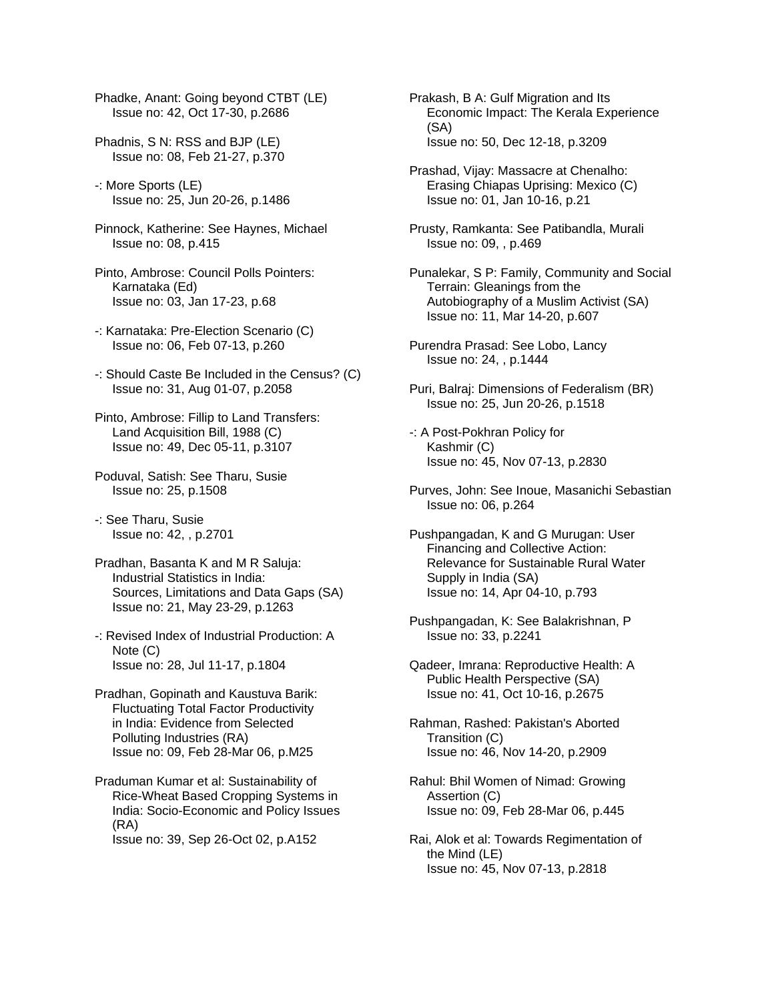Phadke, Anant: Going beyond CTBT (LE) Issue no: 42, Oct 17-30, p.2686

- Phadnis, S N: RSS and BJP (LE) Issue no: 08, Feb 21-27, p.370
- -: More Sports (LE) Issue no: 25, Jun 20-26, p.1486
- Pinnock, Katherine: See Haynes, Michael Issue no: 08, p.415
- Pinto, Ambrose: Council Polls Pointers: Karnataka (Ed) Issue no: 03, Jan 17-23, p.68
- -: Karnataka: Pre-Election Scenario (C) Issue no: 06, Feb 07-13, p.260
- -: Should Caste Be Included in the Census? (C) Issue no: 31, Aug 01-07, p.2058
- Pinto, Ambrose: Fillip to Land Transfers: Land Acquisition Bill, 1988 (C) Issue no: 49, Dec 05-11, p.3107
- Poduval, Satish: See Tharu, Susie Issue no: 25, p.1508

-: See Tharu, Susie Issue no: 42, , p.2701

Pradhan, Basanta K and M R Saluja: Industrial Statistics in India: Sources, Limitations and Data Gaps (SA) Issue no: 21, May 23-29, p.1263

- -: Revised Index of Industrial Production: A Note (C) Issue no: 28, Jul 11-17, p.1804
- Pradhan, Gopinath and Kaustuva Barik: Fluctuating Total Factor Productivity in India: Evidence from Selected Polluting Industries (RA) Issue no: 09, Feb 28-Mar 06, p.M25

Praduman Kumar et al: Sustainability of Rice-Wheat Based Cropping Systems in India: Socio-Economic and Policy Issues (RA) Issue no: 39, Sep 26-Oct 02, p.A152

Prakash, B A: Gulf Migration and Its Economic Impact: The Kerala Experience (SA) Issue no: 50, Dec 12-18, p.3209

- Prashad, Vijay: Massacre at Chenalho: Erasing Chiapas Uprising: Mexico (C) Issue no: 01, Jan 10-16, p.21
- Prusty, Ramkanta: See Patibandla, Murali Issue no: 09, , p.469
- Punalekar, S P: Family, Community and Social Terrain: Gleanings from the Autobiography of a Muslim Activist (SA) Issue no: 11, Mar 14-20, p.607
- Purendra Prasad: See Lobo, Lancy Issue no: 24, , p.1444
- Puri, Balraj: Dimensions of Federalism (BR) Issue no: 25, Jun 20-26, p.1518
- -: A Post-Pokhran Policy for Kashmir (C) Issue no: 45, Nov 07-13, p.2830
- Purves, John: See Inoue, Masanichi Sebastian Issue no: 06, p.264
- Pushpangadan, K and G Murugan: User Financing and Collective Action: Relevance for Sustainable Rural Water Supply in India (SA) Issue no: 14, Apr 04-10, p.793
- Pushpangadan, K: See Balakrishnan, P Issue no: 33, p.2241
- Qadeer, Imrana: Reproductive Health: A Public Health Perspective (SA) Issue no: 41, Oct 10-16, p.2675
- Rahman, Rashed: Pakistan's Aborted Transition (C) Issue no: 46, Nov 14-20, p.2909
- Rahul: Bhil Women of Nimad: Growing Assertion (C) Issue no: 09, Feb 28-Mar 06, p.445
- Rai, Alok et al: Towards Regimentation of the Mind (LE) Issue no: 45, Nov 07-13, p.2818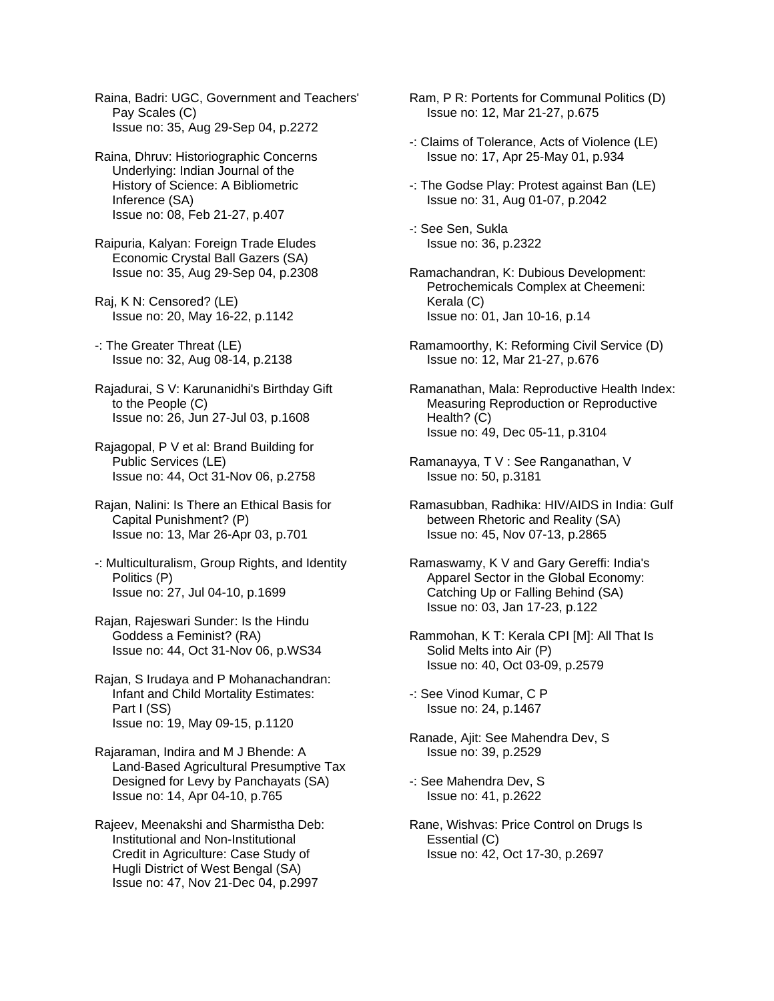Raina, Badri: UGC, Government and Teachers' Pay Scales (C) Issue no: 35, Aug 29-Sep 04, p.2272

Raina, Dhruv: Historiographic Concerns Underlying: Indian Journal of the History of Science: A Bibliometric Inference (SA) Issue no: 08, Feb 21-27, p.407

Raipuria, Kalyan: Foreign Trade Eludes Economic Crystal Ball Gazers (SA) Issue no: 35, Aug 29-Sep 04, p.2308

- Raj, K N: Censored? (LE) Issue no: 20, May 16-22, p.1142
- -: The Greater Threat (LE) Issue no: 32, Aug 08-14, p.2138
- Rajadurai, S V: Karunanidhi's Birthday Gift to the People (C) Issue no: 26, Jun 27-Jul 03, p.1608
- Rajagopal, P V et al: Brand Building for Public Services (LE) Issue no: 44, Oct 31-Nov 06, p.2758
- Rajan, Nalini: Is There an Ethical Basis for Capital Punishment? (P) Issue no: 13, Mar 26-Apr 03, p.701
- -: Multiculturalism, Group Rights, and Identity Politics (P) Issue no: 27, Jul 04-10, p.1699
- Rajan, Rajeswari Sunder: Is the Hindu Goddess a Feminist? (RA) Issue no: 44, Oct 31-Nov 06, p.WS34
- Rajan, S Irudaya and P Mohanachandran: Infant and Child Mortality Estimates: Part I (SS) Issue no: 19, May 09-15, p.1120

Rajaraman, Indira and M J Bhende: A Land-Based Agricultural Presumptive Tax Designed for Levy by Panchayats (SA) Issue no: 14, Apr 04-10, p.765

Rajeev, Meenakshi and Sharmistha Deb: Institutional and Non-Institutional Credit in Agriculture: Case Study of Hugli District of West Bengal (SA) Issue no: 47, Nov 21-Dec 04, p.2997

Ram, P R: Portents for Communal Politics (D) Issue no: 12, Mar 21-27, p.675

- -: Claims of Tolerance, Acts of Violence (LE) Issue no: 17, Apr 25-May 01, p.934
- -: The Godse Play: Protest against Ban (LE) Issue no: 31, Aug 01-07, p.2042

-: See Sen, Sukla Issue no: 36, p.2322

- Ramachandran, K: Dubious Development: Petrochemicals Complex at Cheemeni: Kerala (C) Issue no: 01, Jan 10-16, p.14
- Ramamoorthy, K: Reforming Civil Service (D) Issue no: 12, Mar 21-27, p.676
- Ramanathan, Mala: Reproductive Health Index: Measuring Reproduction or Reproductive Health? (C) Issue no: 49, Dec 05-11, p.3104
- Ramanayya, T V : See Ranganathan, V Issue no: 50, p.3181
- Ramasubban, Radhika: HIV/AIDS in India: Gulf between Rhetoric and Reality (SA) Issue no: 45, Nov 07-13, p.2865
- Ramaswamy, K V and Gary Gereffi: India's Apparel Sector in the Global Economy: Catching Up or Falling Behind (SA) Issue no: 03, Jan 17-23, p.122
- Rammohan, K T: Kerala CPI [M]: All That Is Solid Melts into Air (P) Issue no: 40, Oct 03-09, p.2579
- -: See Vinod Kumar, C P Issue no: 24, p.1467
- Ranade, Ajit: See Mahendra Dev, S Issue no: 39, p.2529
- -: See Mahendra Dev, S Issue no: 41, p.2622
- Rane, Wishvas: Price Control on Drugs Is Essential (C) Issue no: 42, Oct 17-30, p.2697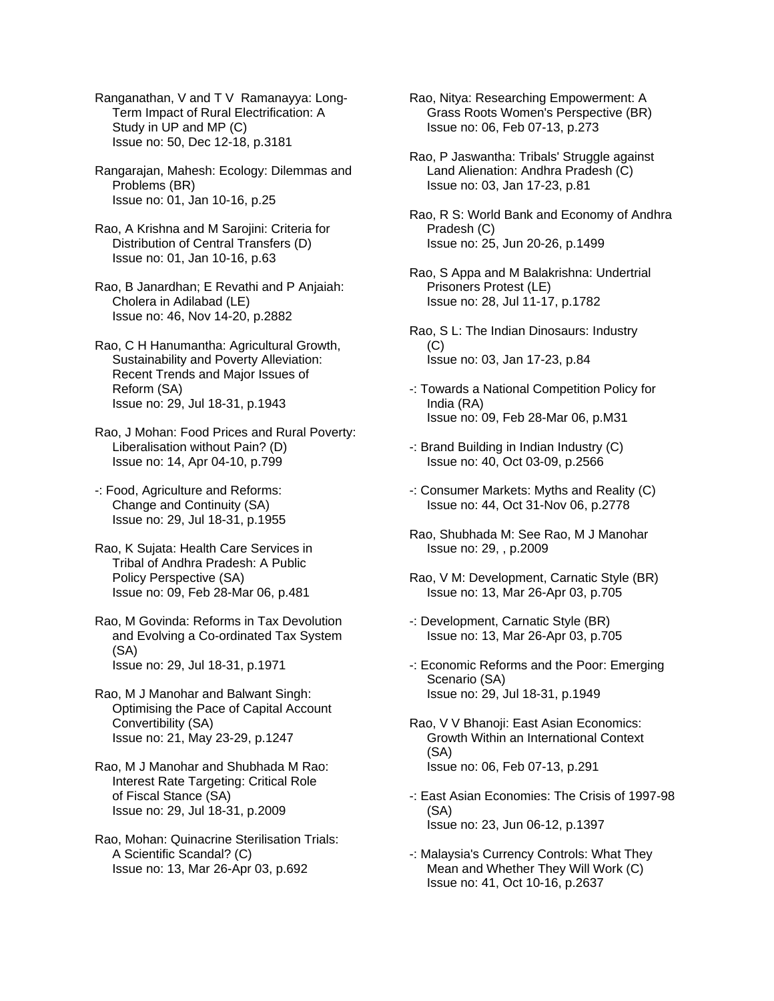Ranganathan, V and T V Ramanayya: Long- Term Impact of Rural Electrification: A Study in UP and MP (C) Issue no: 50, Dec 12-18, p.3181

Rangarajan, Mahesh: Ecology: Dilemmas and Problems (BR) Issue no: 01, Jan 10-16, p.25

Rao, A Krishna and M Sarojini: Criteria for Distribution of Central Transfers (D) Issue no: 01, Jan 10-16, p.63

Rao, B Janardhan; E Revathi and P Anjaiah: Cholera in Adilabad (LE) Issue no: 46, Nov 14-20, p.2882

Rao, C H Hanumantha: Agricultural Growth, Sustainability and Poverty Alleviation: Recent Trends and Major Issues of Reform (SA) Issue no: 29, Jul 18-31, p.1943

Rao, J Mohan: Food Prices and Rural Poverty: Liberalisation without Pain? (D) Issue no: 14, Apr 04-10, p.799

-: Food, Agriculture and Reforms: Change and Continuity (SA) Issue no: 29, Jul 18-31, p.1955

Rao, K Sujata: Health Care Services in Tribal of Andhra Pradesh: A Public Policy Perspective (SA) Issue no: 09, Feb 28-Mar 06, p.481

Rao, M Govinda: Reforms in Tax Devolution and Evolving a Co-ordinated Tax System (SA) Issue no: 29, Jul 18-31, p.1971

Rao, M J Manohar and Balwant Singh: Optimising the Pace of Capital Account Convertibility (SA) Issue no: 21, May 23-29, p.1247

Rao, M J Manohar and Shubhada M Rao: Interest Rate Targeting: Critical Role of Fiscal Stance (SA) Issue no: 29, Jul 18-31, p.2009

Rao, Mohan: Quinacrine Sterilisation Trials: A Scientific Scandal? (C) Issue no: 13, Mar 26-Apr 03, p.692

Rao, Nitya: Researching Empowerment: A Grass Roots Women's Perspective (BR) Issue no: 06, Feb 07-13, p.273

Rao, P Jaswantha: Tribals' Struggle against Land Alienation: Andhra Pradesh (C) Issue no: 03, Jan 17-23, p.81

Rao, R S: World Bank and Economy of Andhra Pradesh (C) Issue no: 25, Jun 20-26, p.1499

Rao, S Appa and M Balakrishna: Undertrial Prisoners Protest (LE) Issue no: 28, Jul 11-17, p.1782

Rao, S L: The Indian Dinosaurs: Industry (C) Issue no: 03, Jan 17-23, p.84

-: Towards a National Competition Policy for India (RA) Issue no: 09, Feb 28-Mar 06, p.M31

-: Brand Building in Indian Industry (C) Issue no: 40, Oct 03-09, p.2566

-: Consumer Markets: Myths and Reality (C) Issue no: 44, Oct 31-Nov 06, p.2778

Rao, Shubhada M: See Rao, M J Manohar Issue no: 29, , p.2009

Rao, V M: Development, Carnatic Style (BR) Issue no: 13, Mar 26-Apr 03, p.705

-: Development, Carnatic Style (BR) Issue no: 13, Mar 26-Apr 03, p.705

-: Economic Reforms and the Poor: Emerging Scenario (SA) Issue no: 29, Jul 18-31, p.1949

Rao, V V Bhanoji: East Asian Economics: Growth Within an International Context (SA) Issue no: 06, Feb 07-13, p.291

-: East Asian Economies: The Crisis of 1997-98 (SA) Issue no: 23, Jun 06-12, p.1397

-: Malaysia's Currency Controls: What They Mean and Whether They Will Work (C) Issue no: 41, Oct 10-16, p.2637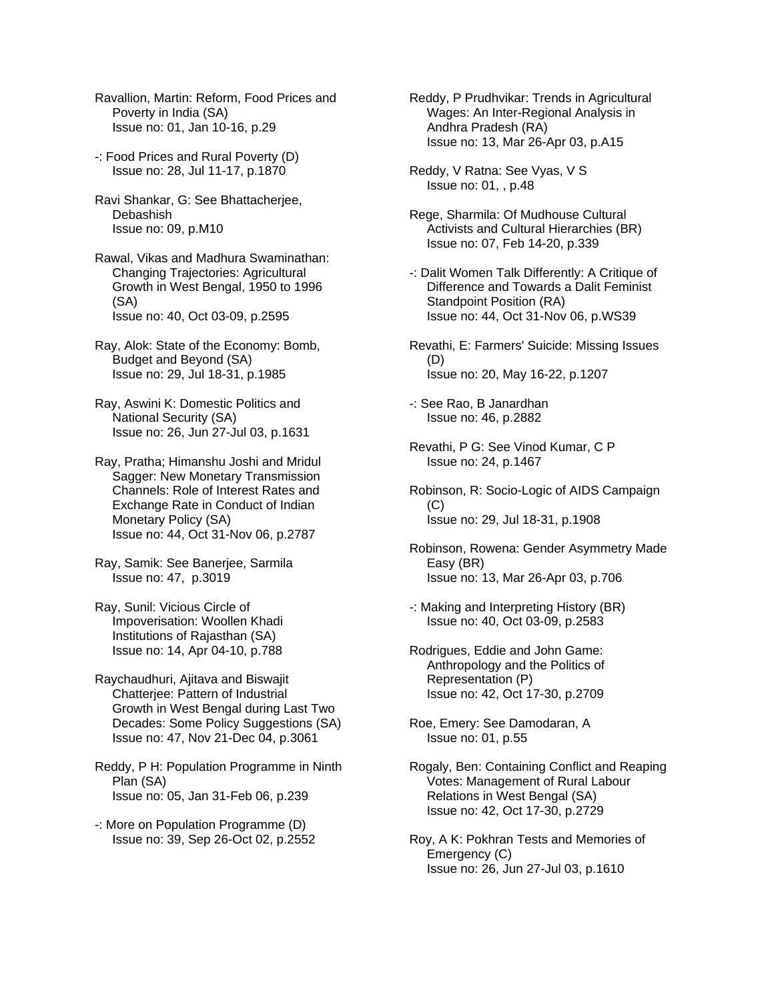- Ravallion, Martin: Reform, Food Prices and Poverty in India (SA) Issue no: 01, Jan 10-16, p.29
- -: Food Prices and Rural Poverty (D) Issue no: 28, Jul 11-17, p.1870
- Ravi Shankar, G: See Bhattacherjee, Debashish Issue no: 09, p.M10
- Rawal, Vikas and Madhura Swaminathan: Changing Trajectories: Agricultural Growth in West Bengal, 1950 to 1996 (SA) Issue no: 40, Oct 03-09, p.2595
- Ray, Alok: State of the Economy: Bomb, Budget and Beyond (SA) Issue no: 29, Jul 18-31, p.1985
- Ray, Aswini K: Domestic Politics and National Security (SA) Issue no: 26, Jun 27-Jul 03, p.1631
- Ray, Pratha; Himanshu Joshi and Mridul Sagger: New Monetary Transmission Channels: Role of Interest Rates and Exchange Rate in Conduct of Indian Monetary Policy (SA) Issue no: 44, Oct 31-Nov 06, p.2787
- Ray, Samik: See Banerjee, Sarmila Issue no: 47, p.3019
- Ray, Sunil: Vicious Circle of Impoverisation: Woollen Khadi Institutions of Rajasthan (SA) Issue no: 14, Apr 04-10, p.788
- Raychaudhuri, Ajitava and Biswajit Chatterjee: Pattern of Industrial Growth in West Bengal during Last Two Decades: Some Policy Suggestions (SA) Issue no: 47, Nov 21-Dec 04, p.3061
- Reddy, P H: Population Programme in Ninth Plan (SA) Issue no: 05, Jan 31-Feb 06, p.239
- -: More on Population Programme (D) Issue no: 39, Sep 26-Oct 02, p.2552
- Reddy, P Prudhvikar: Trends in Agricultural Wages: An Inter-Regional Analysis in Andhra Pradesh (RA) Issue no: 13, Mar 26-Apr 03, p.A15
- Reddy, V Ratna: See Vyas, V S Issue no: 01, , p.48
- Rege, Sharmila: Of Mudhouse Cultural Activists and Cultural Hierarchies (BR) Issue no: 07, Feb 14-20, p.339
- -: Dalit Women Talk Differently: A Critique of Difference and Towards a Dalit Feminist Standpoint Position (RA) Issue no: 44, Oct 31-Nov 06, p.WS39
- Revathi, E: Farmers' Suicide: Missing Issues  $(D)$ Issue no: 20, May 16-22, p.1207
- -: See Rao, B Janardhan Issue no: 46, p.2882
- Revathi, P G: See Vinod Kumar, C P Issue no: 24, p.1467
- Robinson, R: Socio-Logic of AIDS Campaign (C) Issue no: 29, Jul 18-31, p.1908
- Robinson, Rowena: Gender Asymmetry Made Easy (BR) Issue no: 13, Mar 26-Apr 03, p.706
- -: Making and Interpreting History (BR) Issue no: 40, Oct 03-09, p.2583
- Rodrigues, Eddie and John Game: Anthropology and the Politics of Representation (P) Issue no: 42, Oct 17-30, p.2709
- Roe, Emery: See Damodaran, A Issue no: 01, p.55
- Rogaly, Ben: Containing Conflict and Reaping Votes: Management of Rural Labour Relations in West Bengal (SA) Issue no: 42, Oct 17-30, p.2729
- Roy, A K: Pokhran Tests and Memories of Emergency (C) Issue no: 26, Jun 27-Jul 03, p.1610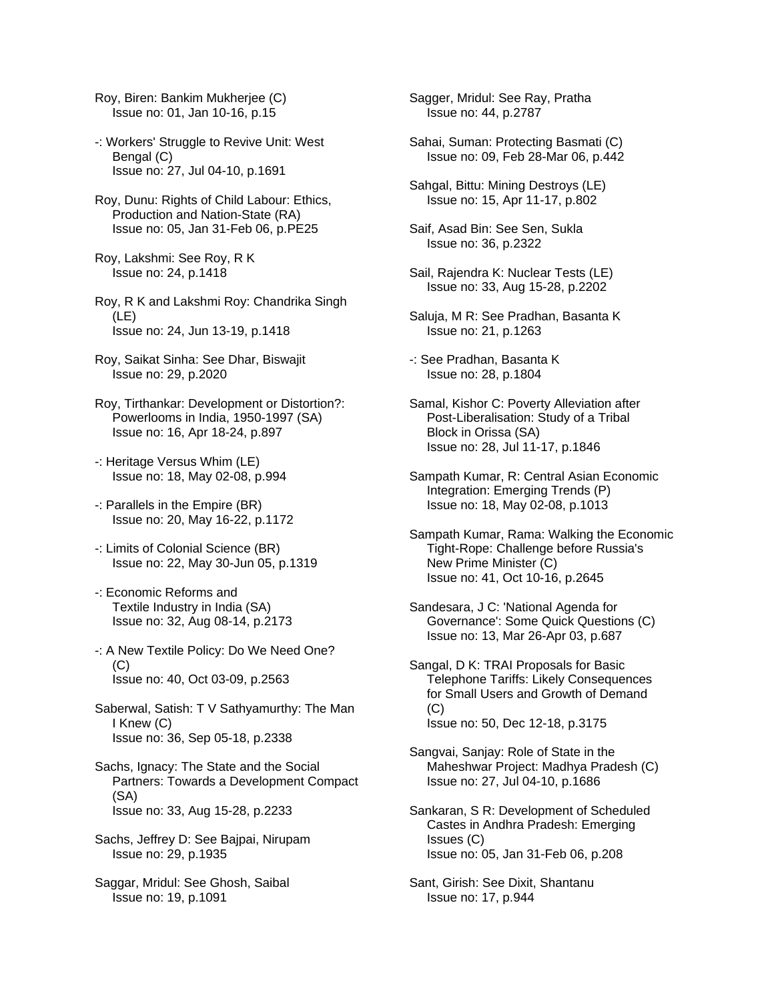- Roy, Biren: Bankim Mukherjee (C) Issue no: 01, Jan 10-16, p.15
- -: Workers' Struggle to Revive Unit: West Bengal (C) Issue no: 27, Jul 04-10, p.1691
- Roy, Dunu: Rights of Child Labour: Ethics, Production and Nation-State (RA) Issue no: 05, Jan 31-Feb 06, p.PE25
- Roy, Lakshmi: See Roy, R K Issue no: 24, p.1418
- Roy, R K and Lakshmi Roy: Chandrika Singh (LE) Issue no: 24, Jun 13-19, p.1418
- Roy, Saikat Sinha: See Dhar, Biswajit Issue no: 29, p.2020
- Roy, Tirthankar: Development or Distortion?: Powerlooms in India, 1950-1997 (SA) Issue no: 16, Apr 18-24, p.897
- -: Heritage Versus Whim (LE) Issue no: 18, May 02-08, p.994
- -: Parallels in the Empire (BR) Issue no: 20, May 16-22, p.1172
- -: Limits of Colonial Science (BR) Issue no: 22, May 30-Jun 05, p.1319
- -: Economic Reforms and Textile Industry in India (SA) Issue no: 32, Aug 08-14, p.2173
- -: A New Textile Policy: Do We Need One? (C) Issue no: 40, Oct 03-09, p.2563
- Saberwal, Satish: T V Sathyamurthy: The Man I Knew (C) Issue no: 36, Sep 05-18, p.2338
- Sachs, Ignacy: The State and the Social Partners: Towards a Development Compact (SA) Issue no: 33, Aug 15-28, p.2233
- Sachs, Jeffrey D: See Bajpai, Nirupam Issue no: 29, p.1935
- Saggar, Mridul: See Ghosh, Saibal Issue no: 19, p.1091
- Sagger, Mridul: See Ray, Pratha Issue no: 44, p.2787
- Sahai, Suman: Protecting Basmati (C) Issue no: 09, Feb 28-Mar 06, p.442
- Sahgal, Bittu: Mining Destroys (LE) Issue no: 15, Apr 11-17, p.802
- Saif, Asad Bin: See Sen, Sukla Issue no: 36, p.2322
- Sail, Rajendra K: Nuclear Tests (LE) Issue no: 33, Aug 15-28, p.2202
- Saluja, M R: See Pradhan, Basanta K Issue no: 21, p.1263
- -: See Pradhan, Basanta K Issue no: 28, p.1804
- Samal, Kishor C: Poverty Alleviation after Post-Liberalisation: Study of a Tribal Block in Orissa (SA) Issue no: 28, Jul 11-17, p.1846
- Sampath Kumar, R: Central Asian Economic Integration: Emerging Trends (P) Issue no: 18, May 02-08, p.1013
- Sampath Kumar, Rama: Walking the Economic Tight-Rope: Challenge before Russia's New Prime Minister (C) Issue no: 41, Oct 10-16, p.2645
- Sandesara, J C: 'National Agenda for Governance': Some Quick Questions (C) Issue no: 13, Mar 26-Apr 03, p.687
- Sangal, D K: TRAI Proposals for Basic Telephone Tariffs: Likely Consequences for Small Users and Growth of Demand (C) Issue no: 50, Dec 12-18, p.3175
- Sangvai, Sanjay: Role of State in the Maheshwar Project: Madhya Pradesh (C) Issue no: 27, Jul 04-10, p.1686
- Sankaran, S R: Development of Scheduled Castes in Andhra Pradesh: Emerging Issues (C) Issue no: 05, Jan 31-Feb 06, p.208
- Sant, Girish: See Dixit, Shantanu Issue no: 17, p.944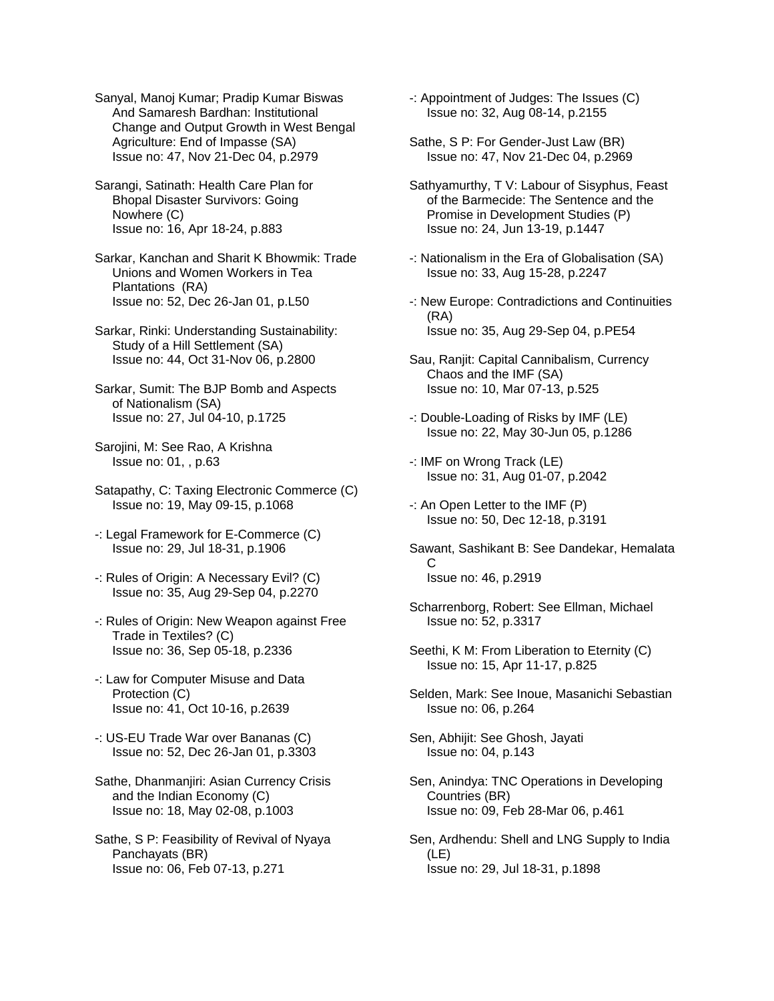Sanyal, Manoj Kumar; Pradip Kumar Biswas And Samaresh Bardhan: Institutional Change and Output Growth in West Bengal Agriculture: End of Impasse (SA) Issue no: 47, Nov 21-Dec 04, p.2979

Sarangi, Satinath: Health Care Plan for Bhopal Disaster Survivors: Going Nowhere (C) Issue no: 16, Apr 18-24, p.883

Sarkar, Kanchan and Sharit K Bhowmik: Trade Unions and Women Workers in Tea Plantations (RA) Issue no: 52, Dec 26-Jan 01, p.L50

Sarkar, Rinki: Understanding Sustainability: Study of a Hill Settlement (SA) Issue no: 44, Oct 31-Nov 06, p.2800

Sarkar, Sumit: The BJP Bomb and Aspects of Nationalism (SA) Issue no: 27, Jul 04-10, p.1725

Sarojini, M: See Rao, A Krishna Issue no: 01, , p.63

Satapathy, C: Taxing Electronic Commerce (C) Issue no: 19, May 09-15, p.1068

-: Legal Framework for E-Commerce (C) Issue no: 29, Jul 18-31, p.1906

-: Rules of Origin: A Necessary Evil? (C) Issue no: 35, Aug 29-Sep 04, p.2270

-: Rules of Origin: New Weapon against Free Trade in Textiles? (C) Issue no: 36, Sep 05-18, p.2336

-: Law for Computer Misuse and Data Protection (C) Issue no: 41, Oct 10-16, p.2639

-: US-EU Trade War over Bananas (C) Issue no: 52, Dec 26-Jan 01, p.3303

Sathe, Dhanmanjiri: Asian Currency Crisis and the Indian Economy (C) Issue no: 18, May 02-08, p.1003

Sathe, S P: Feasibility of Revival of Nyaya Panchayats (BR) Issue no: 06, Feb 07-13, p.271

-: Appointment of Judges: The Issues (C) Issue no: 32, Aug 08-14, p.2155

Sathe, S P: For Gender-Just Law (BR) Issue no: 47, Nov 21-Dec 04, p.2969

Sathyamurthy, T V: Labour of Sisyphus, Feast of the Barmecide: The Sentence and the Promise in Development Studies (P) Issue no: 24, Jun 13-19, p.1447

-: Nationalism in the Era of Globalisation (SA) Issue no: 33, Aug 15-28, p.2247

-: New Europe: Contradictions and Continuities (RA) Issue no: 35, Aug 29-Sep 04, p.PE54

Sau, Ranjit: Capital Cannibalism, Currency Chaos and the IMF (SA) Issue no: 10, Mar 07-13, p.525

-: Double-Loading of Risks by IMF (LE) Issue no: 22, May 30-Jun 05, p.1286

-: IMF on Wrong Track (LE) Issue no: 31, Aug 01-07, p.2042

-: An Open Letter to the IMF (P) Issue no: 50, Dec 12-18, p.3191

Sawant, Sashikant B: See Dandekar, Hemalata C Issue no: 46, p.2919

Scharrenborg, Robert: See Ellman, Michael Issue no: 52, p.3317

Seethi, K M: From Liberation to Eternity (C) Issue no: 15, Apr 11-17, p.825

Selden, Mark: See Inoue, Masanichi Sebastian Issue no: 06, p.264

Sen, Abhijit: See Ghosh, Jayati Issue no: 04, p.143

Sen, Anindya: TNC Operations in Developing Countries (BR) Issue no: 09, Feb 28-Mar 06, p.461

Sen, Ardhendu: Shell and LNG Supply to India (LE) Issue no: 29, Jul 18-31, p.1898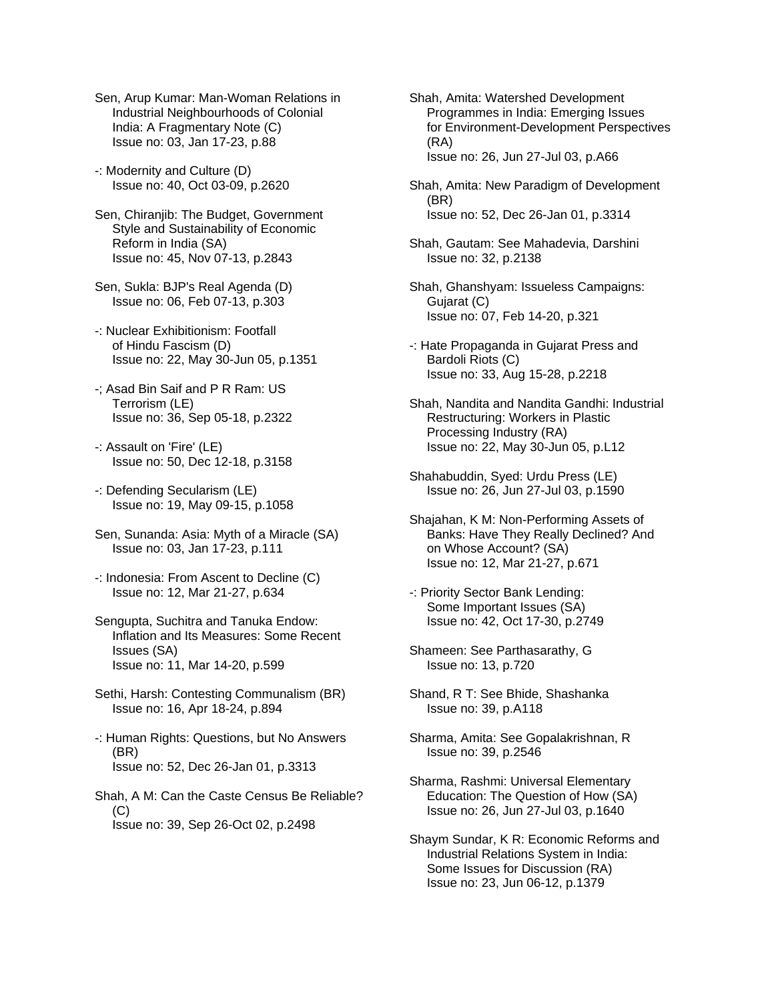Sen, Arup Kumar: Man-Woman Relations in Industrial Neighbourhoods of Colonial India: A Fragmentary Note (C) Issue no: 03, Jan 17-23, p.88

-: Modernity and Culture (D) Issue no: 40, Oct 03-09, p.2620

Sen, Chiranjib: The Budget, Government Style and Sustainability of Economic Reform in India (SA) Issue no: 45, Nov 07-13, p.2843

Sen, Sukla: BJP's Real Agenda (D) Issue no: 06, Feb 07-13, p.303

-: Nuclear Exhibitionism: Footfall of Hindu Fascism (D) Issue no: 22, May 30-Jun 05, p.1351

- -; Asad Bin Saif and P R Ram: US Terrorism (LE) Issue no: 36, Sep 05-18, p.2322
- -: Assault on 'Fire' (LE) Issue no: 50, Dec 12-18, p.3158
- -: Defending Secularism (LE) Issue no: 19, May 09-15, p.1058
- Sen, Sunanda: Asia: Myth of a Miracle (SA) Issue no: 03, Jan 17-23, p.111
- -: Indonesia: From Ascent to Decline (C) Issue no: 12, Mar 21-27, p.634
- Sengupta, Suchitra and Tanuka Endow: Inflation and Its Measures: Some Recent Issues (SA) Issue no: 11, Mar 14-20, p.599
- Sethi, Harsh: Contesting Communalism (BR) Issue no: 16, Apr 18-24, p.894

-: Human Rights: Questions, but No Answers (BR) Issue no: 52, Dec 26-Jan 01, p.3313

Shah, A M: Can the Caste Census Be Reliable?  $(C)$ Issue no: 39, Sep 26-Oct 02, p.2498

Shah, Amita: Watershed Development Programmes in India: Emerging Issues for Environment-Development Perspectives (RA) Issue no: 26, Jun 27-Jul 03, p.A66

- Shah, Amita: New Paradigm of Development (BR) Issue no: 52, Dec 26-Jan 01, p.3314
- Shah, Gautam: See Mahadevia, Darshini Issue no: 32, p.2138
- Shah, Ghanshyam: Issueless Campaigns: Gujarat (C) Issue no: 07, Feb 14-20, p.321
- -: Hate Propaganda in Gujarat Press and Bardoli Riots (C) Issue no: 33, Aug 15-28, p.2218
- Shah, Nandita and Nandita Gandhi: Industrial Restructuring: Workers in Plastic Processing Industry (RA) Issue no: 22, May 30-Jun 05, p.L12
- Shahabuddin, Syed: Urdu Press (LE) Issue no: 26, Jun 27-Jul 03, p.1590
- Shajahan, K M: Non-Performing Assets of Banks: Have They Really Declined? And on Whose Account? (SA) Issue no: 12, Mar 21-27, p.671
- -: Priority Sector Bank Lending: Some Important Issues (SA) Issue no: 42, Oct 17-30, p.2749

Shameen: See Parthasarathy, G Issue no: 13, p.720

Shand, R T: See Bhide, Shashanka Issue no: 39, p.A118

- Sharma, Amita: See Gopalakrishnan, R Issue no: 39, p.2546
- Sharma, Rashmi: Universal Elementary Education: The Question of How (SA) Issue no: 26, Jun 27-Jul 03, p.1640
- Shaym Sundar, K R: Economic Reforms and Industrial Relations System in India: Some Issues for Discussion (RA) Issue no: 23, Jun 06-12, p.1379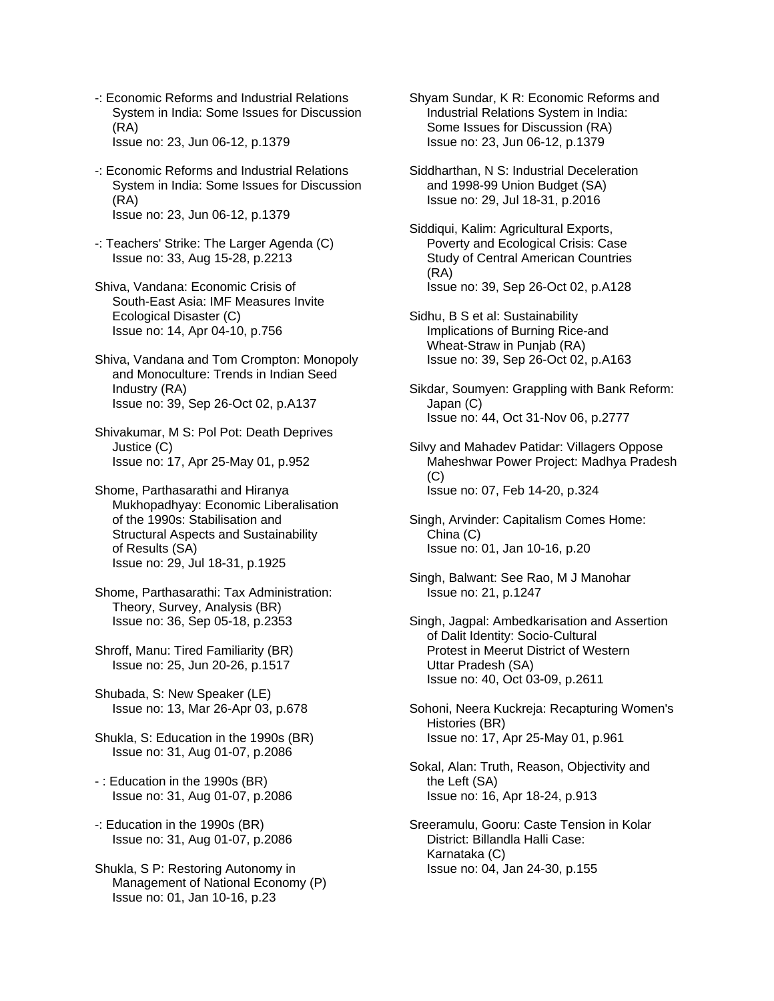- -: Economic Reforms and Industrial Relations System in India: Some Issues for Discussion (RA) Issue no: 23, Jun 06-12, p.1379
- -: Economic Reforms and Industrial Relations System in India: Some Issues for Discussion (RA) Issue no: 23, Jun 06-12, p.1379
- -: Teachers' Strike: The Larger Agenda (C) Issue no: 33, Aug 15-28, p.2213
- Shiva, Vandana: Economic Crisis of South-East Asia: IMF Measures Invite Ecological Disaster (C) Issue no: 14, Apr 04-10, p.756
- Shiva, Vandana and Tom Crompton: Monopoly and Monoculture: Trends in Indian Seed Industry (RA) Issue no: 39, Sep 26-Oct 02, p.A137
- Shivakumar, M S: Pol Pot: Death Deprives Justice (C) Issue no: 17, Apr 25-May 01, p.952
- Shome, Parthasarathi and Hiranya Mukhopadhyay: Economic Liberalisation of the 1990s: Stabilisation and Structural Aspects and Sustainability of Results (SA) Issue no: 29, Jul 18-31, p.1925
- Shome, Parthasarathi: Tax Administration: Theory, Survey, Analysis (BR) Issue no: 36, Sep 05-18, p.2353
- Shroff, Manu: Tired Familiarity (BR) Issue no: 25, Jun 20-26, p.1517
- Shubada, S: New Speaker (LE) Issue no: 13, Mar 26-Apr 03, p.678
- Shukla, S: Education in the 1990s (BR) Issue no: 31, Aug 01-07, p.2086
- : Education in the 1990s (BR) Issue no: 31, Aug 01-07, p.2086
- -: Education in the 1990s (BR) Issue no: 31, Aug 01-07, p.2086
- Shukla, S P: Restoring Autonomy in Management of National Economy (P) Issue no: 01, Jan 10-16, p.23
- Shyam Sundar, K R: Economic Reforms and Industrial Relations System in India: Some Issues for Discussion (RA) Issue no: 23, Jun 06-12, p.1379
- Siddharthan, N S: Industrial Deceleration and 1998-99 Union Budget (SA) Issue no: 29, Jul 18-31, p.2016
- Siddiqui, Kalim: Agricultural Exports, Poverty and Ecological Crisis: Case Study of Central American Countries (RA) Issue no: 39, Sep 26-Oct 02, p.A128
- Sidhu, B S et al: Sustainability Implications of Burning Rice-and Wheat-Straw in Punjab (RA) Issue no: 39, Sep 26-Oct 02, p.A163
- Sikdar, Soumyen: Grappling with Bank Reform: Japan (C) Issue no: 44, Oct 31-Nov 06, p.2777
- Silvy and Mahadev Patidar: Villagers Oppose Maheshwar Power Project: Madhya Pradesh  $(C)$ Issue no: 07, Feb 14-20, p.324
- Singh, Arvinder: Capitalism Comes Home: China (C) Issue no: 01, Jan 10-16, p.20
- Singh, Balwant: See Rao, M J Manohar Issue no: 21, p.1247
- Singh, Jagpal: Ambedkarisation and Assertion of Dalit Identity: Socio-Cultural Protest in Meerut District of Western Uttar Pradesh (SA) Issue no: 40, Oct 03-09, p.2611
- Sohoni, Neera Kuckreja: Recapturing Women's Histories (BR) Issue no: 17, Apr 25-May 01, p.961
- Sokal, Alan: Truth, Reason, Objectivity and the Left (SA) Issue no: 16, Apr 18-24, p.913
- Sreeramulu, Gooru: Caste Tension in Kolar District: Billandla Halli Case: Karnataka (C) Issue no: 04, Jan 24-30, p.155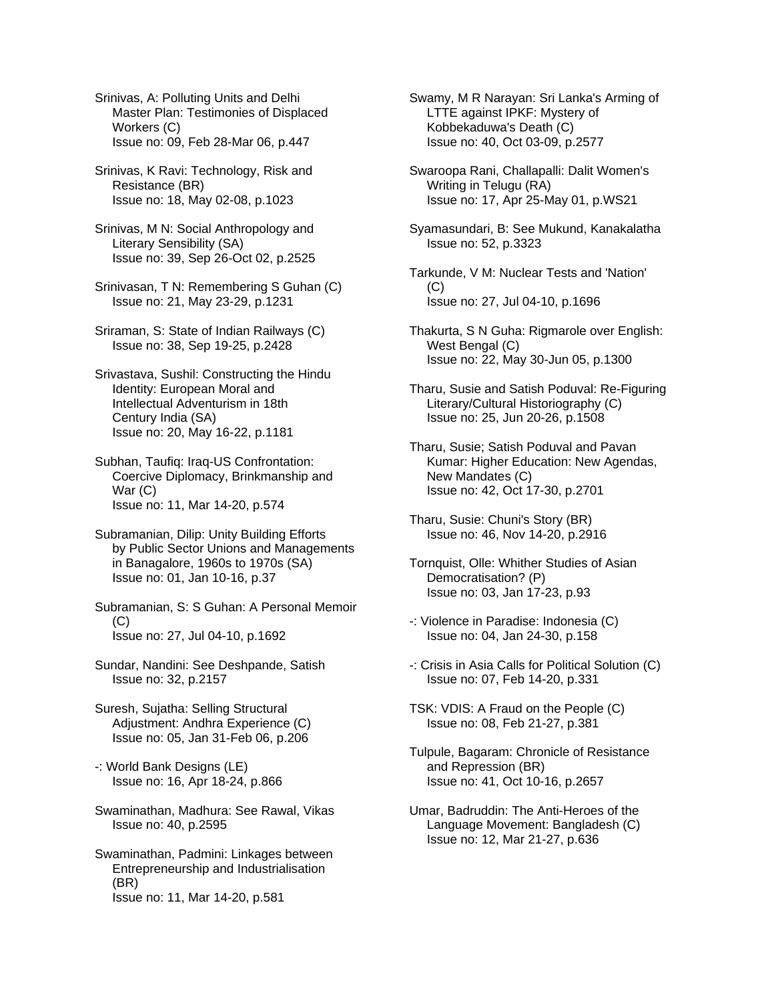Srinivas, A: Polluting Units and Delhi Master Plan: Testimonies of Displaced Workers (C) Issue no: 09, Feb 28-Mar 06, p.447

- Srinivas, K Ravi: Technology, Risk and Resistance (BR) Issue no: 18, May 02-08, p.1023
- Srinivas, M N: Social Anthropology and Literary Sensibility (SA) Issue no: 39, Sep 26-Oct 02, p.2525
- Srinivasan, T N: Remembering S Guhan (C) Issue no: 21, May 23-29, p.1231
- Sriraman, S: State of Indian Railways (C) Issue no: 38, Sep 19-25, p.2428
- Srivastava, Sushil: Constructing the Hindu Identity: European Moral and Intellectual Adventurism in 18th Century India (SA) Issue no: 20, May 16-22, p.1181
- Subhan, Taufiq: Iraq-US Confrontation: Coercive Diplomacy, Brinkmanship and War (C) Issue no: 11, Mar 14-20, p.574
- Subramanian, Dilip: Unity Building Efforts by Public Sector Unions and Managements in Banagalore, 1960s to 1970s (SA) Issue no: 01, Jan 10-16, p.37
- Subramanian, S: S Guhan: A Personal Memoir  $(C)$ Issue no: 27, Jul 04-10, p.1692
- Sundar, Nandini: See Deshpande, Satish Issue no: 32, p.2157
- Suresh, Sujatha: Selling Structural Adjustment: Andhra Experience (C) Issue no: 05, Jan 31-Feb 06, p.206
- -: World Bank Designs (LE) Issue no: 16, Apr 18-24, p.866
- Swaminathan, Madhura: See Rawal, Vikas Issue no: 40, p.2595
- Swaminathan, Padmini: Linkages between Entrepreneurship and Industrialisation (BR) Issue no: 11, Mar 14-20, p.581
- Swamy, M R Narayan: Sri Lanka's Arming of LTTE against IPKF: Mystery of Kobbekaduwa's Death (C) Issue no: 40, Oct 03-09, p.2577
- Swaroopa Rani, Challapalli: Dalit Women's Writing in Telugu (RA) Issue no: 17, Apr 25-May 01, p.WS21
- Syamasundari, B: See Mukund, Kanakalatha Issue no: 52, p.3323
- Tarkunde, V M: Nuclear Tests and 'Nation'  $(C)$ Issue no: 27, Jul 04-10, p.1696
- Thakurta, S N Guha: Rigmarole over English: West Bengal (C) Issue no: 22, May 30-Jun 05, p.1300
- Tharu, Susie and Satish Poduval: Re-Figuring Literary/Cultural Historiography (C) Issue no: 25, Jun 20-26, p.1508
- Tharu, Susie; Satish Poduval and Pavan Kumar: Higher Education: New Agendas, New Mandates (C) Issue no: 42, Oct 17-30, p.2701
- Tharu, Susie: Chuni's Story (BR) Issue no: 46, Nov 14-20, p.2916
- Tornquist, Olle: Whither Studies of Asian Democratisation? (P) Issue no: 03, Jan 17-23, p.93
- -: Violence in Paradise: Indonesia (C) Issue no: 04, Jan 24-30, p.158
- -: Crisis in Asia Calls for Political Solution (C) Issue no: 07, Feb 14-20, p.331
- TSK: VDIS: A Fraud on the People (C) Issue no: 08, Feb 21-27, p.381
- Tulpule, Bagaram: Chronicle of Resistance and Repression (BR) Issue no: 41, Oct 10-16, p.2657
- Umar, Badruddin: The Anti-Heroes of the Language Movement: Bangladesh (C) Issue no: 12, Mar 21-27, p.636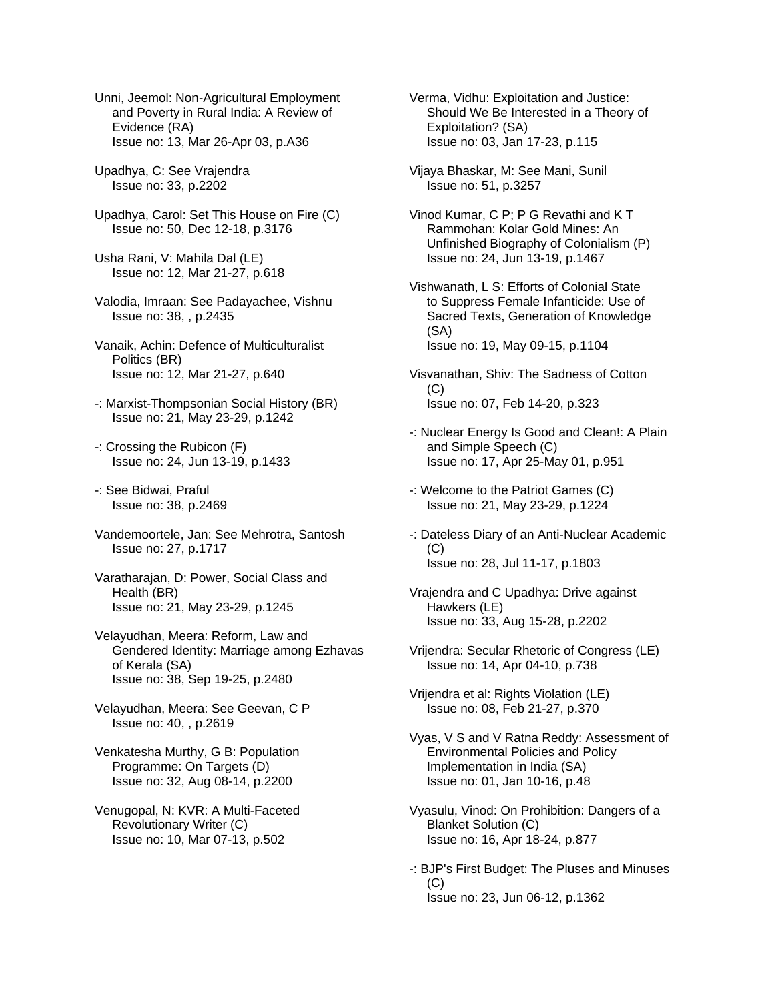Unni, Jeemol: Non-Agricultural Employment and Poverty in Rural India: A Review of Evidence (RA) Issue no: 13, Mar 26-Apr 03, p.A36

Upadhya, C: See Vrajendra Issue no: 33, p.2202

Upadhya, Carol: Set This House on Fire (C) Issue no: 50, Dec 12-18, p.3176

Usha Rani, V: Mahila Dal (LE) Issue no: 12, Mar 21-27, p.618

- Valodia, Imraan: See Padayachee, Vishnu Issue no: 38, , p.2435
- Vanaik, Achin: Defence of Multiculturalist Politics (BR) Issue no: 12, Mar 21-27, p.640
- -: Marxist-Thompsonian Social History (BR) Issue no: 21, May 23-29, p.1242
- -: Crossing the Rubicon (F) Issue no: 24, Jun 13-19, p.1433
- -: See Bidwai, Praful Issue no: 38, p.2469
- Vandemoortele, Jan: See Mehrotra, Santosh Issue no: 27, p.1717
- Varatharajan, D: Power, Social Class and Health (BR) Issue no: 21, May 23-29, p.1245
- Velayudhan, Meera: Reform, Law and Gendered Identity: Marriage among Ezhavas of Kerala (SA) Issue no: 38, Sep 19-25, p.2480
- Velayudhan, Meera: See Geevan, C P Issue no: 40, , p.2619
- Venkatesha Murthy, G B: Population Programme: On Targets (D) Issue no: 32, Aug 08-14, p.2200
- Venugopal, N: KVR: A Multi-Faceted Revolutionary Writer (C) Issue no: 10, Mar 07-13, p.502

Verma, Vidhu: Exploitation and Justice: Should We Be Interested in a Theory of Exploitation? (SA) Issue no: 03, Jan 17-23, p.115

- Vijaya Bhaskar, M: See Mani, Sunil Issue no: 51, p.3257
- Vinod Kumar, C P; P G Revathi and K T Rammohan: Kolar Gold Mines: An Unfinished Biography of Colonialism (P) Issue no: 24, Jun 13-19, p.1467
- Vishwanath, L S: Efforts of Colonial State to Suppress Female Infanticide: Use of Sacred Texts, Generation of Knowledge (SA) Issue no: 19, May 09-15, p.1104
- Visvanathan, Shiv: The Sadness of Cotton  $(C)$ Issue no: 07, Feb 14-20, p.323
- -: Nuclear Energy Is Good and Clean!: A Plain and Simple Speech (C) Issue no: 17, Apr 25-May 01, p.951
- -: Welcome to the Patriot Games (C) Issue no: 21, May 23-29, p.1224
- -: Dateless Diary of an Anti-Nuclear Academic (C) Issue no: 28, Jul 11-17, p.1803
- Vrajendra and C Upadhya: Drive against Hawkers (LE) Issue no: 33, Aug 15-28, p.2202
- Vrijendra: Secular Rhetoric of Congress (LE) Issue no: 14, Apr 04-10, p.738

Vrijendra et al: Rights Violation (LE) Issue no: 08, Feb 21-27, p.370

- Vyas, V S and V Ratna Reddy: Assessment of Environmental Policies and Policy Implementation in India (SA) Issue no: 01, Jan 10-16, p.48
- Vyasulu, Vinod: On Prohibition: Dangers of a Blanket Solution (C) Issue no: 16, Apr 18-24, p.877
- -: BJP's First Budget: The Pluses and Minuses  $(C)$ Issue no: 23, Jun 06-12, p.1362